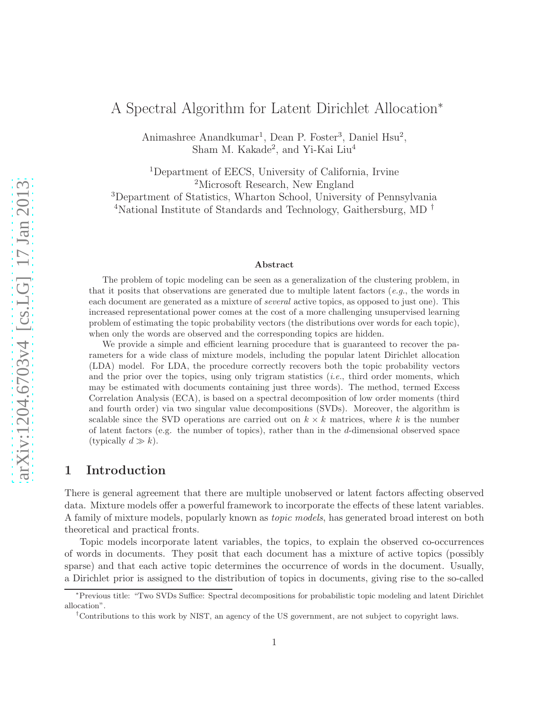# A Spectral Algorithm for Latent Dirichlet Allocation<sup>∗</sup>

Animashree Anandkumar<sup>1</sup>, Dean P. Foster<sup>3</sup>, Daniel Hsu<sup>2</sup>, Sham M. Kakade<sup>2</sup>, and Yi-Kai Liu<sup>4</sup>

<sup>1</sup>Department of EECS, University of California, Irvine <sup>2</sup>Microsoft Research, New England <sup>3</sup>Department of Statistics, Wharton School, University of Pennsylvania

<sup>4</sup>National Institute of Standards and Technology, Gaithersburg, MD<sup>†</sup>

#### Abstract

The problem of topic modeling can be seen as a generalization of the clustering problem, in that it posits that observations are generated due to multiple latent factors (*e.g.*, the words in each document are generated as a mixture of *several* active topics, as opposed to just one). This increased representational power comes at the cost of a more challenging unsupervised learning problem of estimating the topic probability vectors (the distributions over words for each topic), when only the words are observed and the corresponding topics are hidden.

We provide a simple and efficient learning procedure that is guaranteed to recover the parameters for a wide class of mixture models, including the popular latent Dirichlet allocation (LDA) model. For LDA, the procedure correctly recovers both the topic probability vectors and the prior over the topics, using only trigram statistics (*i.e.*, third order moments, which may be estimated with documents containing just three words). The method, termed Excess Correlation Analysis (ECA), is based on a spectral decomposition of low order moments (third and fourth order) via two singular value decompositions (SVDs). Moreover, the algorithm is scalable since the SVD operations are carried out on  $k \times k$  matrices, where k is the number of latent factors (e.g. the number of topics), rather than in the d-dimensional observed space (typically  $d \gg k$ ).

# 1 Introduction

There is general agreement that there are multiple unobserved or latent factors affecting observed data. Mixture models offer a powerful framework to incorporate the effects of these latent variables. A family of mixture models, popularly known as *topic models*, has generated broad interest on both theoretical and practical fronts.

Topic models incorporate latent variables, the topics, to explain the observed co-occurrences of words in documents. They posit that each document has a mixture of active topics (possibly sparse) and that each active topic determines the occurrence of words in the document. Usually, a Dirichlet prior is assigned to the distribution of topics in documents, giving rise to the so-called

<sup>∗</sup>Previous title: "Two SVDs Suffice: Spectral decompositions for probabilistic topic modeling and latent Dirichlet allocation".

<sup>†</sup>Contributions to this work by NIST, an agency of the US government, are not subject to copyright laws.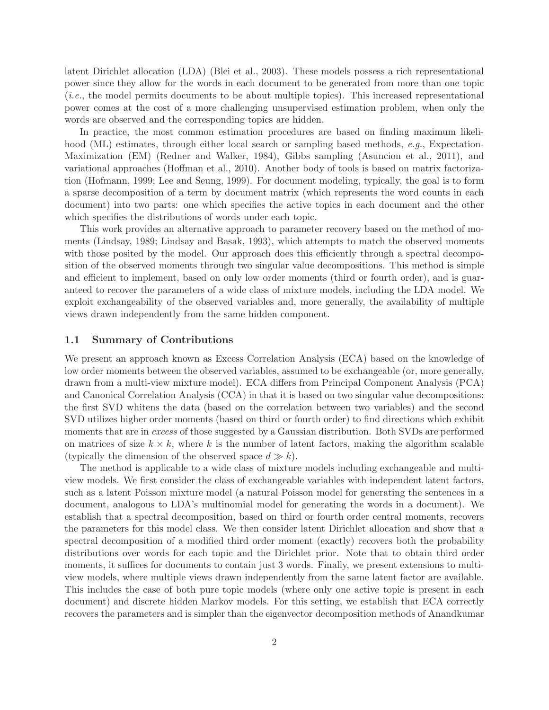latent Dirichlet allocation (LDA) (Blei et al., 2003). These models possess a rich representational power since they allow for the words in each document to be generated from more than one topic (*i.e.*, the model permits documents to be about multiple topics). This increased representational power comes at the cost of a more challenging unsupervised estimation problem, when only the words are observed and the corresponding topics are hidden.

In practice, the most common estimation procedures are based on finding maximum likelihood (ML) estimates, through either local search or sampling based methods, *e.g.*, Expectation-Maximization (EM) (Redner and Walker, 1984), Gibbs sampling (Asuncion et al., 2011), and variational approaches (Hoffman et al., 2010). Another body of tools is based on matrix factorization (Hofmann, 1999; Lee and Seung, 1999). For document modeling, typically, the goal is to form a sparse decomposition of a term by document matrix (which represents the word counts in each document) into two parts: one which specifies the active topics in each document and the other which specifies the distributions of words under each topic.

This work provides an alternative approach to parameter recovery based on the method of moments (Lindsay, 1989; Lindsay and Basak, 1993), which attempts to match the observed moments with those posited by the model. Our approach does this efficiently through a spectral decomposition of the observed moments through two singular value decompositions. This method is simple and efficient to implement, based on only low order moments (third or fourth order), and is guaranteed to recover the parameters of a wide class of mixture models, including the LDA model. We exploit exchangeability of the observed variables and, more generally, the availability of multiple views drawn independently from the same hidden component.

#### 1.1 Summary of Contributions

We present an approach known as Excess Correlation Analysis (ECA) based on the knowledge of low order moments between the observed variables, assumed to be exchangeable (or, more generally, drawn from a multi-view mixture model). ECA differs from Principal Component Analysis (PCA) and Canonical Correlation Analysis (CCA) in that it is based on two singular value decompositions: the first SVD whitens the data (based on the correlation between two variables) and the second SVD utilizes higher order moments (based on third or fourth order) to find directions which exhibit moments that are in *excess* of those suggested by a Gaussian distribution. Both SVDs are performed on matrices of size  $k \times k$ , where k is the number of latent factors, making the algorithm scalable (typically the dimension of the observed space  $d \gg k$ ).

The method is applicable to a wide class of mixture models including exchangeable and multiview models. We first consider the class of exchangeable variables with independent latent factors, such as a latent Poisson mixture model (a natural Poisson model for generating the sentences in a document, analogous to LDA's multinomial model for generating the words in a document). We establish that a spectral decomposition, based on third or fourth order central moments, recovers the parameters for this model class. We then consider latent Dirichlet allocation and show that a spectral decomposition of a modified third order moment (exactly) recovers both the probability distributions over words for each topic and the Dirichlet prior. Note that to obtain third order moments, it suffices for documents to contain just 3 words. Finally, we present extensions to multiview models, where multiple views drawn independently from the same latent factor are available. This includes the case of both pure topic models (where only one active topic is present in each document) and discrete hidden Markov models. For this setting, we establish that ECA correctly recovers the parameters and is simpler than the eigenvector decomposition methods of Anandkumar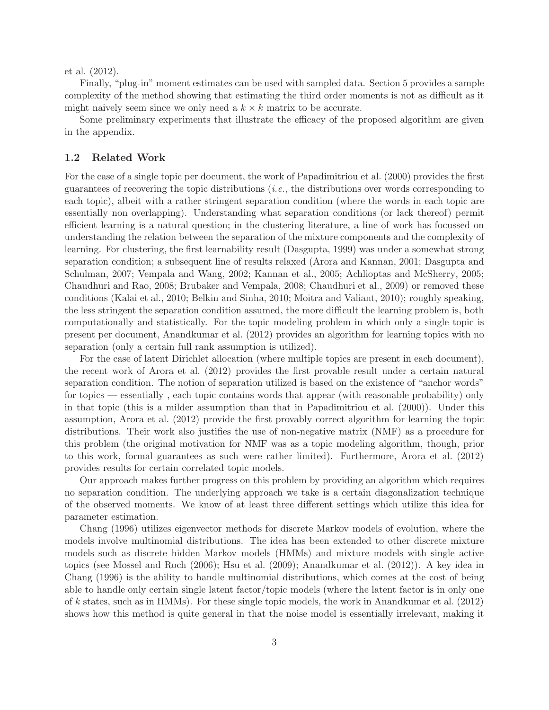et al. (2012).

Finally, "plug-in" moment estimates can be used with sampled data. Section 5 provides a sample complexity of the method showing that estimating the third order moments is not as difficult as it might naively seem since we only need a  $k \times k$  matrix to be accurate.

Some preliminary experiments that illustrate the efficacy of the proposed algorithm are given in the appendix.

#### 1.2 Related Work

For the case of a single topic per document, the work of Papadimitriou et al. (2000) provides the first guarantees of recovering the topic distributions (*i.e.*, the distributions over words corresponding to each topic), albeit with a rather stringent separation condition (where the words in each topic are essentially non overlapping). Understanding what separation conditions (or lack thereof) permit efficient learning is a natural question; in the clustering literature, a line of work has focussed on understanding the relation between the separation of the mixture components and the complexity of learning. For clustering, the first learnability result (Dasgupta, 1999) was under a somewhat strong separation condition; a subsequent line of results relaxed (Arora and Kannan, 2001; Dasgupta and Schulman, 2007; Vempala and Wang, 2002; Kannan et al., 2005; Achlioptas and McSherry, 2005; Chaudhuri and Rao, 2008; Brubaker and Vempala, 2008; Chaudhuri et al., 2009) or removed these conditions (Kalai et al., 2010; Belkin and Sinha, 2010; Moitra and Valiant, 2010); roughly speaking, the less stringent the separation condition assumed, the more difficult the learning problem is, both computationally and statistically. For the topic modeling problem in which only a single topic is present per document, Anandkumar et al. (2012) provides an algorithm for learning topics with no separation (only a certain full rank assumption is utilized).

For the case of latent Dirichlet allocation (where multiple topics are present in each document), the recent work of Arora et al. (2012) provides the first provable result under a certain natural separation condition. The notion of separation utilized is based on the existence of "anchor words" for topics — essentially , each topic contains words that appear (with reasonable probability) only in that topic (this is a milder assumption than that in Papadimitriou et al. (2000)). Under this assumption, Arora et al. (2012) provide the first provably correct algorithm for learning the topic distributions. Their work also justifies the use of non-negative matrix (NMF) as a procedure for this problem (the original motivation for NMF was as a topic modeling algorithm, though, prior to this work, formal guarantees as such were rather limited). Furthermore, Arora et al. (2012) provides results for certain correlated topic models.

Our approach makes further progress on this problem by providing an algorithm which requires no separation condition. The underlying approach we take is a certain diagonalization technique of the observed moments. We know of at least three different settings which utilize this idea for parameter estimation.

Chang (1996) utilizes eigenvector methods for discrete Markov models of evolution, where the models involve multinomial distributions. The idea has been extended to other discrete mixture models such as discrete hidden Markov models (HMMs) and mixture models with single active topics (see Mossel and Roch (2006); Hsu et al. (2009); Anandkumar et al. (2012)). A key idea in Chang (1996) is the ability to handle multinomial distributions, which comes at the cost of being able to handle only certain single latent factor/topic models (where the latent factor is in only one of k states, such as in HMMs). For these single topic models, the work in Anandkumar et al. (2012) shows how this method is quite general in that the noise model is essentially irrelevant, making it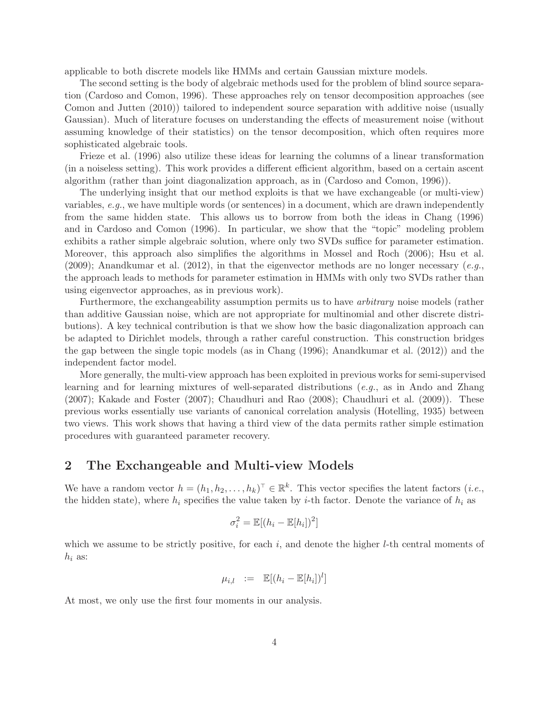applicable to both discrete models like HMMs and certain Gaussian mixture models.

The second setting is the body of algebraic methods used for the problem of blind source separation (Cardoso and Comon, 1996). These approaches rely on tensor decomposition approaches (see Comon and Jutten (2010)) tailored to independent source separation with additive noise (usually Gaussian). Much of literature focuses on understanding the effects of measurement noise (without assuming knowledge of their statistics) on the tensor decomposition, which often requires more sophisticated algebraic tools.

Frieze et al. (1996) also utilize these ideas for learning the columns of a linear transformation (in a noiseless setting). This work provides a different efficient algorithm, based on a certain ascent algorithm (rather than joint diagonalization approach, as in (Cardoso and Comon, 1996)).

The underlying insight that our method exploits is that we have exchangeable (or multi-view) variables, *e.g.*, we have multiple words (or sentences) in a document, which are drawn independently from the same hidden state. This allows us to borrow from both the ideas in Chang (1996) and in Cardoso and Comon (1996). In particular, we show that the "topic" modeling problem exhibits a rather simple algebraic solution, where only two SVDs suffice for parameter estimation. Moreover, this approach also simplifies the algorithms in Mossel and Roch (2006); Hsu et al. (2009); Anandkumar et al. (2012), in that the eigenvector methods are no longer necessary (*e.g.*, the approach leads to methods for parameter estimation in HMMs with only two SVDs rather than using eigenvector approaches, as in previous work).

Furthermore, the exchangeability assumption permits us to have *arbitrary* noise models (rather than additive Gaussian noise, which are not appropriate for multinomial and other discrete distributions). A key technical contribution is that we show how the basic diagonalization approach can be adapted to Dirichlet models, through a rather careful construction. This construction bridges the gap between the single topic models (as in Chang (1996); Anandkumar et al. (2012)) and the independent factor model.

More generally, the multi-view approach has been exploited in previous works for semi-supervised learning and for learning mixtures of well-separated distributions (*e.g.*, as in Ando and Zhang (2007); Kakade and Foster (2007); Chaudhuri and Rao (2008); Chaudhuri et al. (2009)). These previous works essentially use variants of canonical correlation analysis (Hotelling, 1935) between two views. This work shows that having a third view of the data permits rather simple estimation procedures with guaranteed parameter recovery.

## 2 The Exchangeable and Multi-view Models

We have a random vector  $h = (h_1, h_2, \ldots, h_k)^\top \in \mathbb{R}^k$ . This vector specifies the latent factors *(i.e.*, the hidden state), where  $h_i$  specifies the value taken by *i*-th factor. Denote the variance of  $h_i$  as

$$
\sigma_i^2 = \mathbb{E}[(h_i - \mathbb{E}[h_i])^2]
$$

which we assume to be strictly positive, for each  $i$ , and denote the higher  $l$ -th central moments of  $h_i$  as:

$$
\mu_{i,l} \quad := \quad \mathbb{E}[(h_i - \mathbb{E}[h_i])^l]
$$

At most, we only use the first four moments in our analysis.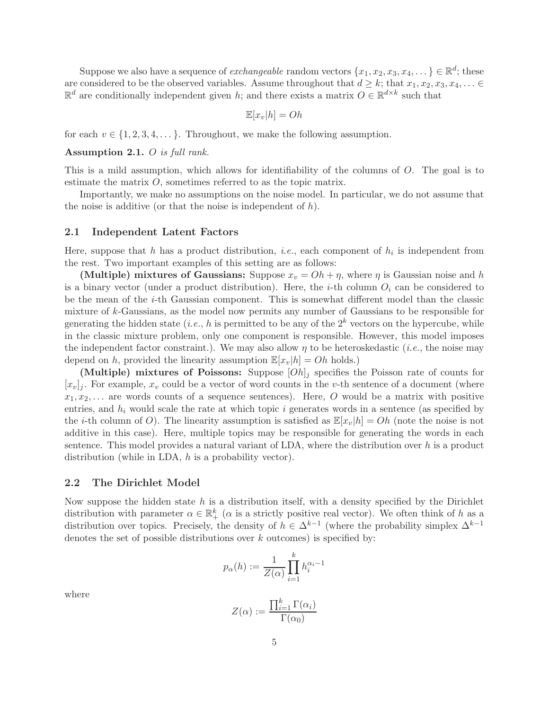Suppose we also have a sequence of *exchangeable* random vectors  $\{x_1, x_2, x_3, x_4, \dots\} \in \mathbb{R}^d$ ; these are considered to be the observed variables. Assume throughout that  $d \geq k$ ; that  $x_1, x_2, x_3, x_4, \ldots \in$  $\mathbb{R}^d$  are conditionally independent given h; and there exists a matrix  $O \in \mathbb{R}^{d \times k}$  such that

$$
\mathbb{E}[x_v|h] = Oh
$$

for each  $v \in \{1, 2, 3, 4, \dots\}$ . Throughout, we make the following assumption.

### Assumption 2.1. O *is full rank.*

This is a mild assumption, which allows for identifiability of the columns of O. The goal is to estimate the matrix O, sometimes referred to as the topic matrix.

Importantly, we make no assumptions on the noise model. In particular, we do not assume that the noise is additive (or that the noise is independent of  $h$ ).

#### 2.1 Independent Latent Factors

Here, suppose that  $h$  has a product distribution, *i.e.*, each component of  $h_i$  is independent from the rest. Two important examples of this setting are as follows:

(Multiple) mixtures of Gaussians: Suppose  $x_v = Oh + \eta$ , where  $\eta$  is Gaussian noise and h is a binary vector (under a product distribution). Here, the *i*-th column  $O_i$  can be considered to be the mean of the i-th Gaussian component. This is somewhat different model than the classic mixture of k-Gaussians, as the model now permits any number of Gaussians to be responsible for generating the hidden state (*i.e.*, h is permitted to be any of the  $2^k$  vectors on the hypercube, while in the classic mixture problem, only one component is responsible. However, this model imposes the independent factor constraint.). We may also allow  $\eta$  to be heteroskedastic *(i.e.*, the noise may depend on h, provided the linearity assumption  $\mathbb{E}[x_v|h] = Oh$  holds.)

(Multiple) mixtures of Poissons: Suppose  $[Oh]_j$  specifies the Poisson rate of counts for  $[x_v]_i$ . For example,  $x_v$  could be a vector of word counts in the v-th sentence of a document (where  $x_1, x_2, \ldots$  are words counts of a sequence sentences). Here, O would be a matrix with positive entries, and  $h_i$  would scale the rate at which topic i generates words in a sentence (as specified by the *i*-th column of O). The linearity assumption is satisfied as  $\mathbb{E}[x_v|h] = Oh$  (note the noise is not additive in this case). Here, multiple topics may be responsible for generating the words in each sentence. This model provides a natural variant of LDA, where the distribution over  $h$  is a product distribution (while in LDA, h is a probability vector).

#### 2.2 The Dirichlet Model

Now suppose the hidden state  $h$  is a distribution itself, with a density specified by the Dirichlet distribution with parameter  $\alpha \in \mathbb{R}^k_+$  ( $\alpha$  is a strictly positive real vector). We often think of h as a distribution over topics. Precisely, the density of  $h \in \Delta^{k-1}$  (where the probability simplex  $\Delta^{k-1}$ denotes the set of possible distributions over  $k$  outcomes) is specified by:

$$
p_{\alpha}(h) := \frac{1}{Z(\alpha)} \prod_{i=1}^{k} h_i^{\alpha_i - 1}
$$

where

$$
Z(\alpha) := \frac{\prod_{i=1}^{k} \Gamma(\alpha_i)}{\Gamma(\alpha_0)}
$$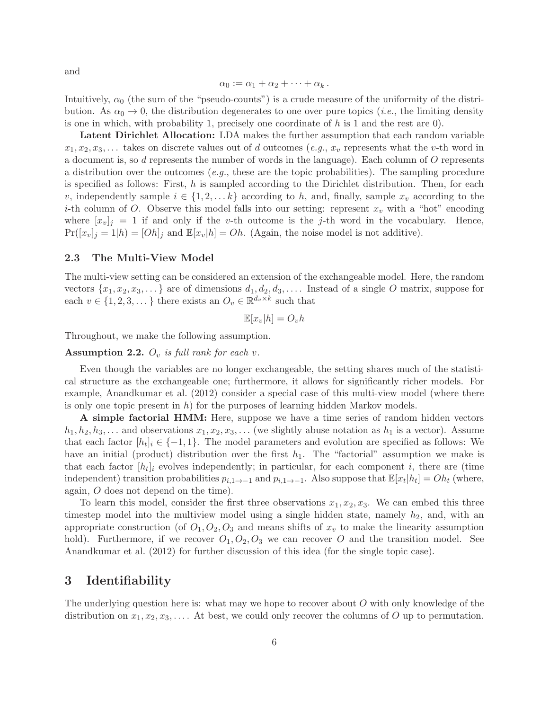and

$$
\alpha_0 := \alpha_1 + \alpha_2 + \cdots + \alpha_k.
$$

Intuitively,  $\alpha_0$  (the sum of the "pseudo-counts") is a crude measure of the uniformity of the distribution. As  $\alpha_0 \to 0$ , the distribution degenerates to one over pure topics (*i.e.*, the limiting density is one in which, with probability 1, precisely one coordinate of  $h$  is 1 and the rest are 0).

Latent Dirichlet Allocation: LDA makes the further assumption that each random variable  $x_1, x_2, x_3, \ldots$  takes on discrete values out of d outcomes (*e.g.*,  $x_v$  represents what the v-th word in a document is, so d represents the number of words in the language). Each column of  $O$  represents a distribution over the outcomes (*e.g.*, these are the topic probabilities). The sampling procedure is specified as follows: First, h is sampled according to the Dirichlet distribution. Then, for each v, independently sample  $i \in \{1, 2, \ldots k\}$  according to h, and, finally, sample  $x_v$  according to the *i*-th column of O. Observe this model falls into our setting: represent  $x_v$  with a "hot" encoding where  $[x_v]_i = 1$  if and only if the v-th outcome is the j-th word in the vocabulary. Hence,  $Pr([x_v]_j = 1 | h) = [Oh]_j$  and  $\mathbb{E}[x_v]_j = Oh$ . (Again, the noise model is not additive).

#### 2.3 The Multi-View Model

The multi-view setting can be considered an extension of the exchangeable model. Here, the random vectors  $\{x_1, x_2, x_3, \ldots\}$  are of dimensions  $d_1, d_2, d_3, \ldots$ . Instead of a single O matrix, suppose for each  $v \in \{1, 2, 3, \dots\}$  there exists an  $O_v \in \mathbb{R}^{d_v \times k}$  such that

$$
\mathbb{E}[x_v|h] = O_vh
$$

Throughout, we make the following assumption.

#### Assumption 2.2.  $O_v$  *is full rank for each v*.

Even though the variables are no longer exchangeable, the setting shares much of the statistical structure as the exchangeable one; furthermore, it allows for significantly richer models. For example, Anandkumar et al. (2012) consider a special case of this multi-view model (where there is only one topic present in  $h$ ) for the purposes of learning hidden Markov models.

A simple factorial HMM: Here, suppose we have a time series of random hidden vectors  $h_1, h_2, h_3, \ldots$  and observations  $x_1, x_2, x_3, \ldots$  (we slightly abuse notation as  $h_1$  is a vector). Assume that each factor  $[h_t]_i \in \{-1, 1\}$ . The model parameters and evolution are specified as follows: We have an initial (product) distribution over the first  $h_1$ . The "factorial" assumption we make is that each factor  $[h_t]_i$  evolves independently; in particular, for each component i, there are (time independent) transition probabilities  $p_{i,1\to -1}$  and  $p_{i,1\to -1}$ . Also suppose that  $\mathbb{E}[x_t|h_t] = Oh_t$  (where, again, O does not depend on the time).

To learn this model, consider the first three observations  $x_1, x_2, x_3$ . We can embed this three timestep model into the multiview model using a single hidden state, namely  $h_2$ , and, with an appropriate construction (of  $O_1$ ,  $O_2$ ,  $O_3$  and means shifts of  $x<sub>v</sub>$  to make the linearity assumption hold). Furthermore, if we recover  $O_1, O_2, O_3$  we can recover O and the transition model. See Anandkumar et al. (2012) for further discussion of this idea (for the single topic case).

## 3 Identifiability

The underlying question here is: what may we hope to recover about  $O$  with only knowledge of the distribution on  $x_1, x_2, x_3, \ldots$ . At best, we could only recover the columns of O up to permutation.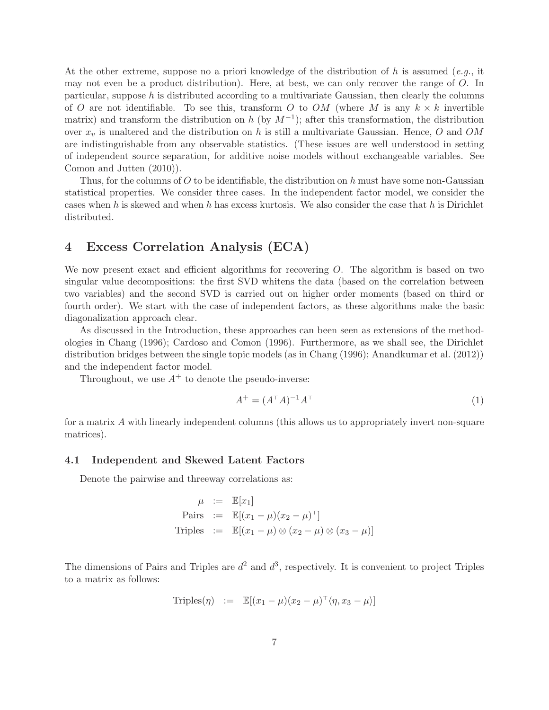At the other extreme, suppose no a priori knowledge of the distribution of h is assumed (*e.g.*, it may not even be a product distribution). Here, at best, we can only recover the range of  $O$ . In particular, suppose  $h$  is distributed according to a multivariate Gaussian, then clearly the columns of O are not identifiable. To see this, transform O to OM (where M is any  $k \times k$  invertible matrix) and transform the distribution on h (by  $M^{-1}$ ); after this transformation, the distribution over  $x_v$  is unaltered and the distribution on h is still a multivariate Gaussian. Hence, O and OM are indistinguishable from any observable statistics. (These issues are well understood in setting of independent source separation, for additive noise models without exchangeable variables. See Comon and Jutten (2010)).

Thus, for the columns of  $O$  to be identifiable, the distribution on h must have some non-Gaussian statistical properties. We consider three cases. In the independent factor model, we consider the cases when h is skewed and when h has excess kurtosis. We also consider the case that h is Dirichlet distributed.

## 4 Excess Correlation Analysis (ECA)

We now present exact and efficient algorithms for recovering O. The algorithm is based on two singular value decompositions: the first SVD whitens the data (based on the correlation between two variables) and the second SVD is carried out on higher order moments (based on third or fourth order). We start with the case of independent factors, as these algorithms make the basic diagonalization approach clear.

As discussed in the Introduction, these approaches can been seen as extensions of the methodologies in Chang (1996); Cardoso and Comon (1996). Furthermore, as we shall see, the Dirichlet distribution bridges between the single topic models (as in Chang (1996); Anandkumar et al. (2012)) and the independent factor model.

Throughout, we use  $A^+$  to denote the pseudo-inverse:

$$
A^{+} = (A^{\top}A)^{-1}A^{\top}
$$
\n(1)

for a matrix A with linearly independent columns (this allows us to appropriately invert non-square matrices).

#### 4.1 Independent and Skewed Latent Factors

Denote the pairwise and threeway correlations as:

$$
\mu := \mathbb{E}[x_1]
$$
  
Pairs :=  $\mathbb{E}[(x_1 - \mu)(x_2 - \mu)^{\top}]$   
Triples :=  $\mathbb{E}[(x_1 - \mu) \otimes (x_2 - \mu) \otimes (x_3 - \mu)]$ 

The dimensions of Pairs and Triples are  $d^2$  and  $d^3$ , respectively. It is convenient to project Triples to a matrix as follows:

$$
\text{Triples}(\eta) \ := \ \mathbb{E}[(x_1 - \mu)(x_2 - \mu)^{\top} \langle \eta, x_3 - \mu \rangle]
$$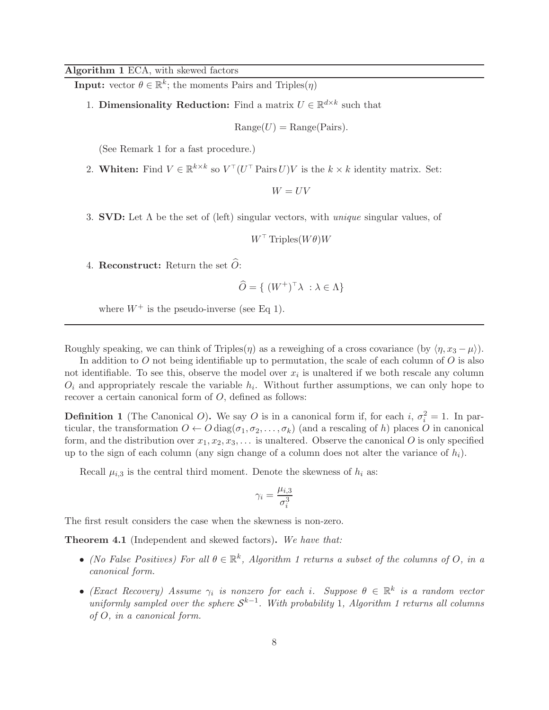### Algorithm 1 ECA, with skewed factors

**Input:** vector  $\theta \in \mathbb{R}^k$ ; the moments Pairs and Triples( $\eta$ )

1. **Dimensionality Reduction:** Find a matrix  $U \in \mathbb{R}^{d \times k}$  such that

$$
Range(U) = Range(Pairs).
$$

(See Remark 1 for a fast procedure.)

2. Whiten: Find  $V \in \mathbb{R}^{k \times k}$  so  $V^{\top} (U^{\top} \text{Pairs } U) V$  is the  $k \times k$  identity matrix. Set:

 $W = UV$ 

3. SVD: Let Λ be the set of (left) singular vectors, with *unique* singular values, of

 $W^{\top}$  Triples $(W\theta)W$ 

4. Reconstruct: Return the set  $\ddot{O}$ :

$$
\widehat{O} = \{ (W^+)^\top \lambda \ : \lambda \in \Lambda \}
$$

where  $W^+$  is the pseudo-inverse (see Eq 1).

Roughly speaking, we can think of Triples( $\eta$ ) as a reweighing of a cross covariance (by  $\langle \eta, x_3 - \mu \rangle$ ).

In addition to  $O$  not being identifiable up to permutation, the scale of each column of  $O$  is also not identifiable. To see this, observe the model over  $x_i$  is unaltered if we both rescale any column  $O_i$  and appropriately rescale the variable  $h_i$ . Without further assumptions, we can only hope to recover a certain canonical form of O, defined as follows:

**Definition 1** (The Canonical O). We say O is in a canonical form if, for each i,  $\sigma_i^2 = 1$ . In particular, the transformation  $O \leftarrow O \text{diag}(\sigma_1, \sigma_2, \dots, \sigma_k)$  (and a rescaling of h) places O in canonical form, and the distribution over  $x_1, x_2, x_3, \ldots$  is unaltered. Observe the canonical O is only specified up to the sign of each column (any sign change of a column does not alter the variance of  $h_i$ ).

Recall  $\mu_{i,3}$  is the central third moment. Denote the skewness of  $h_i$  as:

$$
\gamma_i = \frac{\mu_{i,3}}{\sigma_i^3}
$$

The first result considers the case when the skewness is non-zero.

Theorem 4.1 (Independent and skewed factors). *We have that:*

- *(No False Positives) For all*  $\theta \in \mathbb{R}^k$ , *Algorithm 1 returns a subset of the columns of O*, *in a canonical form.*
- $\bullet$  *(Exact Recovery)* Assume  $\gamma_i$  is nonzero for each i. Suppose  $\theta \in \mathbb{R}^k$  is a random vector  $uniformly sampled over the sphere S<sup>k-1</sup>$ . With probability 1, Algorithm 1 returns all columns *of* O*, in a canonical form.*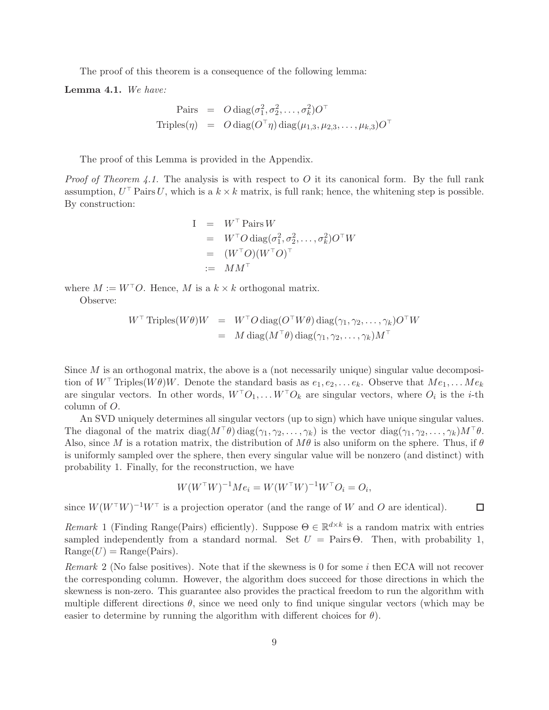The proof of this theorem is a consequence of the following lemma:

Lemma 4.1. *We have:*

$$
\begin{array}{rcl}\n\text{Pairs} & = & O \operatorname{diag}(\sigma_1^2, \sigma_2^2, \dots, \sigma_k^2) O^\top \\
\text{Triples}(\eta) & = & O \operatorname{diag}(O^\top \eta) \operatorname{diag}(\mu_{1,3}, \mu_{2,3}, \dots, \mu_{k,3}) O^\top\n\end{array}
$$

The proof of this Lemma is provided in the Appendix.

*Proof of Theorem 4.1.* The analysis is with respect to O it its canonical form. By the full rank assumption,  $U^{\top}$  Pairs U, which is a  $k \times k$  matrix, is full rank; hence, the whitening step is possible. By construction:

$$
I = W\top \text{ Pairs } W
$$
  
=  $W\top O \text{ diag}(\sigma_1^2, \sigma_2^2, ..., \sigma_k^2) O\top W$   
=  $(W\top O)(W\top O)\top$   
:=  $M M\top$ 

where  $M := W^{\top}O$ . Hence, M is a  $k \times k$  orthogonal matrix.

Observe:

$$
W^{\top} \text{ Triples}(W\theta)W = W^{\top} O \text{ diag}(O^{\top}W\theta) \text{ diag}(\gamma_1, \gamma_2, \dots, \gamma_k)O^{\top}W
$$
  
=  $M \text{ diag}(M^{\top}\theta) \text{ diag}(\gamma_1, \gamma_2, \dots, \gamma_k)M^{\top}$ 

Since  $M$  is an orthogonal matrix, the above is a (not necessarily unique) singular value decomposition of  $W^{\top}$  Triples( $W\theta$ )W. Denote the standard basis as  $e_1, e_2, \ldots e_k$ . Observe that  $Me_1, \ldots Me_k$ are singular vectors. In other words,  $W^{\top}O_1, \ldots W^{\top}O_k$  are singular vectors, where  $O_i$  is the *i*-th column of O.

An SVD uniquely determines all singular vectors (up to sign) which have unique singular values. The diagonal of the matrix diag( $M^{\dagger}\theta$ ) diag( $\gamma_1, \gamma_2, \ldots, \gamma_k$ ) is the vector diag( $\gamma_1, \gamma_2, \ldots, \gamma_k$ ) $M^{\dagger}\theta$ . Also, since M is a rotation matrix, the distribution of  $M\theta$  is also uniform on the sphere. Thus, if  $\theta$ is uniformly sampled over the sphere, then every singular value will be nonzero (and distinct) with probability 1. Finally, for the reconstruction, we have

$$
W(W^{\top}W)^{-1}Me_i = W(W^{\top}W)^{-1}W^{\top}O_i = O_i,
$$

 $\Box$ 

since  $W(W^{\top}W)^{-1}W^{\top}$  is a projection operator (and the range of W and O are identical).

*Remark* 1 (Finding Range(Pairs) efficiently). Suppose  $\Theta \in \mathbb{R}^{d \times k}$  is a random matrix with entries sampled independently from a standard normal. Set  $U = \text{Pairs} \Theta$ . Then, with probability 1,  $Range(U) = Range(Pairs).$ 

*Remark* 2 (No false positives)*.* Note that if the skewness is 0 for some i then ECA will not recover the corresponding column. However, the algorithm does succeed for those directions in which the skewness is non-zero. This guarantee also provides the practical freedom to run the algorithm with multiple different directions  $\theta$ , since we need only to find unique singular vectors (which may be easier to determine by running the algorithm with different choices for  $\theta$ ).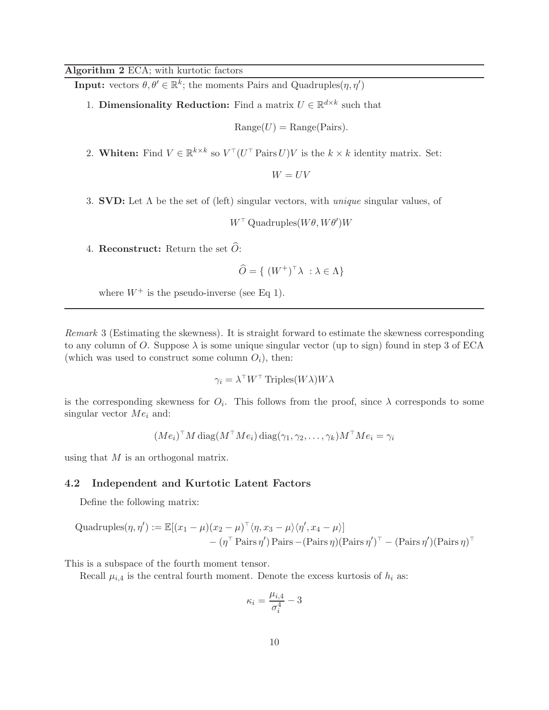## Algorithm 2 ECA; with kurtotic factors

**Input:** vectors  $\theta, \theta' \in \mathbb{R}^k$ ; the moments Pairs and Quadruples $(\eta, \eta')$ 

1. **Dimensionality Reduction:** Find a matrix  $U \in \mathbb{R}^{d \times k}$  such that

 $Range(U) = Range(Pairs).$ 

2. Whiten: Find  $V \in \mathbb{R}^{k \times k}$  so  $V^{\top} (U^{\top} \text{Pairs } U) V$  is the  $k \times k$  identity matrix. Set:

 $W = UV$ 

3. SVD: Let Λ be the set of (left) singular vectors, with *unique* singular values, of

 $W^{\top}$  Quadruples $(W\theta, W\theta')W$ 

4. Reconstruct: Return the set  $\hat{O}$ :

$$
\widehat{O} = \{ (W^+)^\top \lambda \ : \lambda \in \Lambda \}
$$

where  $W^+$  is the pseudo-inverse (see Eq 1).

*Remark* 3 (Estimating the skewness)*.* It is straight forward to estimate the skewness corresponding to any column of O. Suppose  $\lambda$  is some unique singular vector (up to sign) found in step 3 of ECA (which was used to construct some column  $O_i$ ), then:

$$
\gamma_i = \lambda^\top W^\top \operatorname{Triples}(W\lambda)W\lambda
$$

is the corresponding skewness for  $O_i$ . This follows from the proof, since  $\lambda$  corresponds to some singular vector  $Me<sub>i</sub>$  and:

$$
(Me_i)^{\top} M \operatorname{diag}(M^{\top} Me_i) \operatorname{diag}(\gamma_1, \gamma_2, \dots, \gamma_k) M^{\top} Me_i = \gamma_i
$$

using that  $M$  is an orthogonal matrix.

### 4.2 Independent and Kurtotic Latent Factors

Define the following matrix:

Quadruples
$$
(\eta, \eta') := \mathbb{E}[(x_1 - \mu)(x_2 - \mu)^{\top} \langle \eta, x_3 - \mu \rangle \langle \eta', x_4 - \mu \rangle]
$$
  
-  $(\eta^{\top} \text{Pairs } \eta') \text{Pairs} - (\text{Pairs } \eta)(\text{Pairs } \eta')^{\top} - (\text{Pairs } \eta') (\text{Pairs } \eta)^{\top}$ 

This is a subspace of the fourth moment tensor.

Recall  $\mu_{i,4}$  is the central fourth moment. Denote the excess kurtosis of  $h_i$  as:

$$
\kappa_i = \frac{\mu_{i,4}}{\sigma_i^4} - 3
$$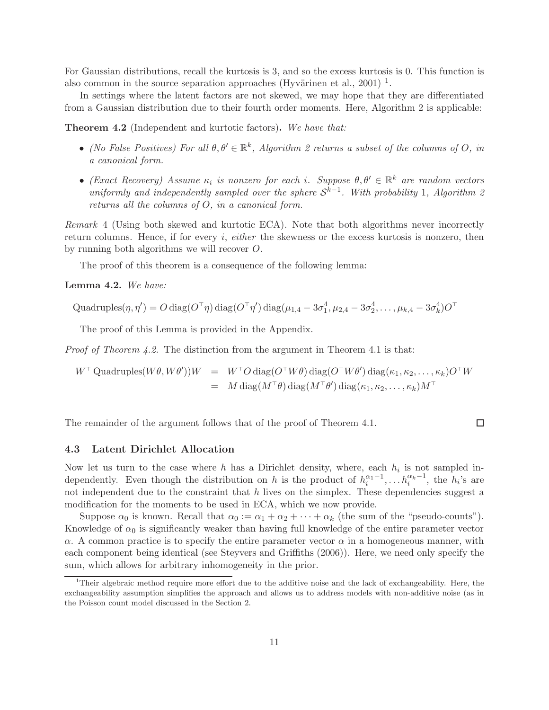For Gaussian distributions, recall the kurtosis is 3, and so the excess kurtosis is 0. This function is also common in the source separation approaches (Hyvärinen et al., 2001)<sup>1</sup>.

In settings where the latent factors are not skewed, we may hope that they are differentiated from a Gaussian distribution due to their fourth order moments. Here, Algorithm 2 is applicable:

Theorem 4.2 (Independent and kurtotic factors). *We have that:*

- *(No False Positives) For all*  $\theta, \theta' \in \mathbb{R}^k$ , *Algorithm 2 returns a subset of the columns of O*, *in a canonical form.*
- $\bullet$  *(Exact Recovery)* Assume  $\kappa_i$  is nonzero for each i. Suppose  $\theta, \theta' \in \mathbb{R}^k$  are random vectors *uniformly and independently sampled over the sphere*  $S^{k-1}$ *. With probability* 1*, Algorithm 2 returns all the columns of* O*, in a canonical form.*

*Remark* 4 (Using both skewed and kurtotic ECA)*.* Note that both algorithms never incorrectly return columns. Hence, if for every i, *either* the skewness or the excess kurtosis is nonzero, then by running both algorithms we will recover O.

The proof of this theorem is a consequence of the following lemma:

Lemma 4.2. *We have:*

Quadruples
$$
(\eta, \eta') = O
$$
 diag $(O^{\top} \eta)$  diag $(O^{\top} \eta')$  diag $(\mu_{1,4} - 3\sigma_1^4, \mu_{2,4} - 3\sigma_2^4, \dots, \mu_{k,4} - 3\sigma_k^4)O^{\top}$ 

The proof of this Lemma is provided in the Appendix.

*Proof of Theorem 4.2.* The distinction from the argument in Theorem 4.1 is that:

$$
W^{\top} \text{Quadruples}(W\theta, W\theta'))W = W^{\top} O \text{ diag}(O^{\top}W\theta) \text{ diag}(O^{\top}W\theta') \text{ diag}(\kappa_1, \kappa_2, \dots, \kappa_k)O^{\top}W
$$
  
= 
$$
M \text{ diag}(M^{\top}\theta) \text{ diag}(M^{\top}\theta') \text{ diag}(\kappa_1, \kappa_2, \dots, \kappa_k)M^{\top}
$$

The remainder of the argument follows that of the proof of Theorem 4.1.

#### $\Box$

#### 4.3 Latent Dirichlet Allocation

Now let us turn to the case where h has a Dirichlet density, where, each  $h_i$  is not sampled independently. Even though the distribution on h is the product of  $h_i^{\alpha_1-1}, \ldots, h_i^{\alpha_k-1}$ , the  $h_i$ 's are not independent due to the constraint that  $h$  lives on the simplex. These dependencies suggest a modification for the moments to be used in ECA, which we now provide.

Suppose  $\alpha_0$  is known. Recall that  $\alpha_0 := \alpha_1 + \alpha_2 + \cdots + \alpha_k$  (the sum of the "pseudo-counts"). Knowledge of  $\alpha_0$  is significantly weaker than having full knowledge of the entire parameter vector α. A common practice is to specify the entire parameter vector  $\alpha$  in a homogeneous manner, with each component being identical (see Steyvers and Griffiths (2006)). Here, we need only specify the sum, which allows for arbitrary inhomogeneity in the prior.

<sup>&</sup>lt;sup>1</sup>Their algebraic method require more effort due to the additive noise and the lack of exchangeability. Here, the exchangeability assumption simplifies the approach and allows us to address models with non-additive noise (as in the Poisson count model discussed in the Section 2.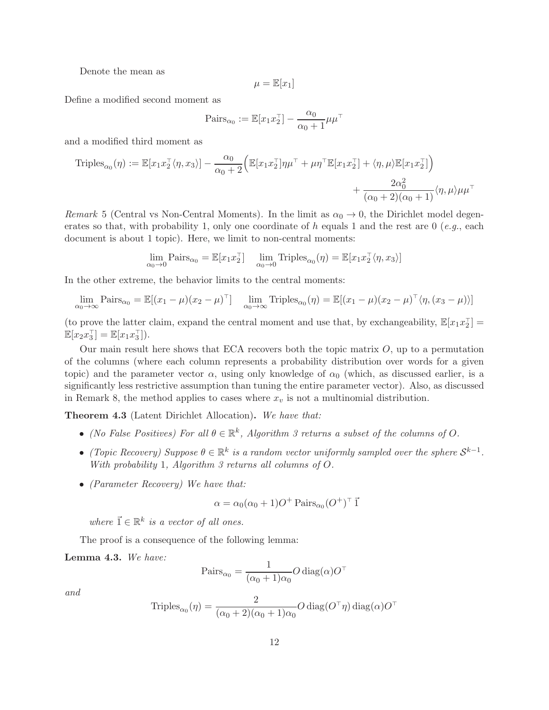Denote the mean as

$$
\mu = \mathbb{E}[x_1]
$$

Define a modified second moment as

$$
\mathrm{Pairs}_{\alpha_0} := \mathbb{E}[x_1 x_2^\top] - \frac{\alpha_0}{\alpha_0 + 1} \mu \mu^\top
$$

and a modified third moment as

$$
\begin{aligned} \text{Triples}_{\alpha_0}(\eta) &:= \mathbb{E}[x_1 x_2^\top \langle \eta, x_3 \rangle] - \frac{\alpha_0}{\alpha_0 + 2} \Big( \mathbb{E}[x_1 x_2^\top] \eta \mu^\top + \mu \eta^\top \mathbb{E}[x_1 x_2^\top] + \langle \eta, \mu \rangle \mathbb{E}[x_1 x_2^\top] \Big) \\ &+ \frac{2\alpha_0^2}{(\alpha_0 + 2)(\alpha_0 + 1)} \langle \eta, \mu \rangle \mu \mu^\top \end{aligned}
$$

*Remark* 5 (Central vs Non-Central Moments). In the limit as  $\alpha_0 \rightarrow 0$ , the Dirichlet model degenerates so that, with probability 1, only one coordinate of h equals 1 and the rest are  $0$  (e.g., each document is about 1 topic). Here, we limit to non-central moments:

$$
\lim_{\alpha_0 \to 0} \text{Pairs}_{\alpha_0} = \mathbb{E}[x_1 x_2^{\top}] \quad \lim_{\alpha_0 \to 0} \text{Triples}_{\alpha_0}(\eta) = \mathbb{E}[x_1 x_2^{\top} \langle \eta, x_3 \rangle]
$$

In the other extreme, the behavior limits to the central moments:

$$
\lim_{\alpha_0 \to \infty} \text{Pairs}_{\alpha_0} = \mathbb{E}[(x_1 - \mu)(x_2 - \mu)^{\top}] \quad \lim_{\alpha_0 \to \infty} \text{Triples}_{\alpha_0}(\eta) = \mathbb{E}[(x_1 - \mu)(x_2 - \mu)^{\top} \langle \eta, (x_3 - \mu) \rangle]
$$

(to prove the latter claim, expand the central moment and use that, by exchangeability,  $\mathbb{E}[x_1 x_2^{\top}] =$  $\mathbb{E}[x_2 x_3^{\top}] = \mathbb{E}[x_1 x_3^{\top}]).$ 

Our main result here shows that ECA recovers both the topic matrix  $O$ , up to a permutation of the columns (where each column represents a probability distribution over words for a given topic) and the parameter vector  $\alpha$ , using only knowledge of  $\alpha_0$  (which, as discussed earlier, is a significantly less restrictive assumption than tuning the entire parameter vector). Also, as discussed in Remark 8, the method applies to cases where  $x_v$  is not a multinomial distribution.

Theorem 4.3 (Latent Dirichlet Allocation). *We have that:*

- *(No False Positives) For all*  $\theta \in \mathbb{R}^k$ , *Algorithm 3 returns a subset of the columns of* O.
- *(Topic Recovery)* Suppose  $θ ∈ ℝ<sup>k</sup>$  is a random vector uniformly sampled over the sphere  $S<sup>k-1</sup>$ . *With probability* 1*, Algorithm 3 returns all columns of* O*.*
- *(Parameter Recovery) We have that:*

$$
\alpha = \alpha_0(\alpha_0 + 1)O^+ \operatorname{Pairs}_{\alpha_0}(O^+)^{\top} \vec{1}
$$

*where*  $\vec{1} \in \mathbb{R}^k$  *is a vector of all ones.* 

The proof is a consequence of the following lemma:

Lemma 4.3. *We have:*

$$
\text{Pairs}_{\alpha_0} = \frac{1}{(\alpha_0 + 1)\alpha_0} O \operatorname{diag}(\alpha) O^{\top}
$$

*and*

$$
\text{Triples}_{\alpha_0}(\eta) = \frac{2}{(\alpha_0 + 2)(\alpha_0 + 1)\alpha_0} O \operatorname{diag}(O^{\top}\eta) \operatorname{diag}(\alpha)O^{\top}
$$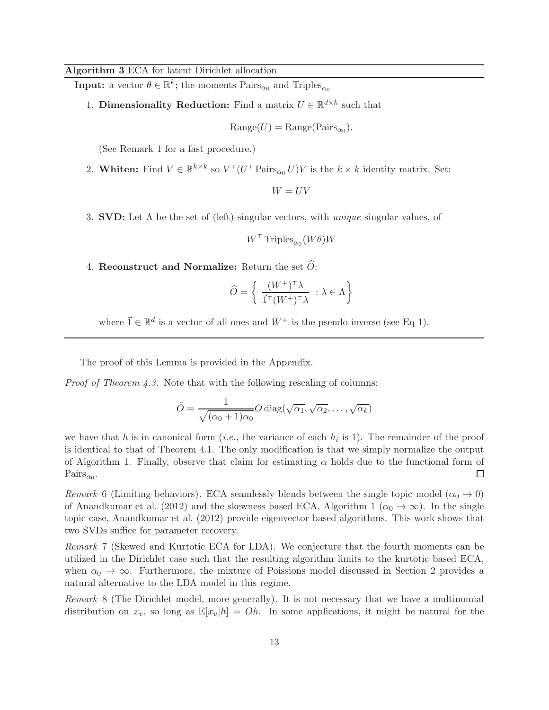#### Algorithm 3 ECA for latent Dirichlet allocation

**Input:** a vector  $\theta \in \mathbb{R}^k$ ; the moments  $\text{Pairs}_{\alpha_0}$  and  $\text{Triples}_{\alpha_0}$ 

1. **Dimensionality Reduction:** Find a matrix  $U \in \mathbb{R}^{d \times k}$  such that

$$
Range(U) = Range(Pairs_{\alpha_0}).
$$

(See Remark 1 for a fast procedure.)

2. Whiten: Find  $V \in \mathbb{R}^{k \times k}$  so  $V^{\top} (U^{\top} \text{Pairs}_{\alpha_0} U) V$  is the  $k \times k$  identity matrix. Set:

 $W = UV$ 

3. SVD: Let Λ be the set of (left) singular vectors, with *unique* singular values, of

$$
W^{\top} \operatorname{Triples}_{\alpha_0}(W\theta)W
$$

4. Reconstruct and Normalize: Return the set  $\widehat{O}$ :

$$
\widehat{O} = \left\{ \begin{array}{l} \frac{(W^+)^{\top} \lambda}{\vec{1}^\top (W^+)^{\top} \lambda} \ : \lambda \in \Lambda \end{array} \right\}
$$

where  $\vec{1} \in \mathbb{R}^d$  is a vector of all ones and  $W^+$  is the pseudo-inverse (see Eq 1).

The proof of this Lemma is provided in the Appendix.

*Proof of Theorem 4.3.* Note that with the following rescaling of columns:

$$
\tilde{O} = \frac{1}{\sqrt{(\alpha_0 + 1)\alpha_0}} O \operatorname{diag}(\sqrt{\alpha_1}, \sqrt{\alpha_2}, \dots, \sqrt{\alpha_k})
$$

we have that h is in canonical form  $(i.e.,$  the variance of each  $h_i$  is 1). The remainder of the proof is identical to that of Theorem 4.1. The only modification is that we simply normalize the output of Algorithm 1. Finally, observe that claim for estimating  $\alpha$  holds due to the functional form of  $\text{Pairs}_{\alpha_0}.$  $\Box$ 

*Remark* 6 (Limiting behaviors). ECA seamlessly blends between the single topic model ( $\alpha_0 \rightarrow 0$ ) of Anandkumar et al. (2012) and the skewness based ECA, Algorithm 1 ( $\alpha_0 \to \infty$ ). In the single topic case, Anandkumar et al. (2012) provide eigenvector based algorithms. This work shows that two SVDs suffice for parameter recovery.

*Remark* 7 (Skewed and Kurtotic ECA for LDA)*.* We conjecture that the fourth moments can be utilized in the Dirichlet case such that the resulting algorithm limits to the kurtotic based ECA, when  $\alpha_0 \to \infty$ . Furthermore, the mixture of Poissions model discussed in Section 2 provides a natural alternative to the LDA model in this regime.

*Remark* 8 (The Dirichlet model, more generally)*.* It is not necessary that we have a multinomial distribution on  $x_v$ , so long as  $\mathbb{E}[x_v|h] = Oh$ . In some applications, it might be natural for the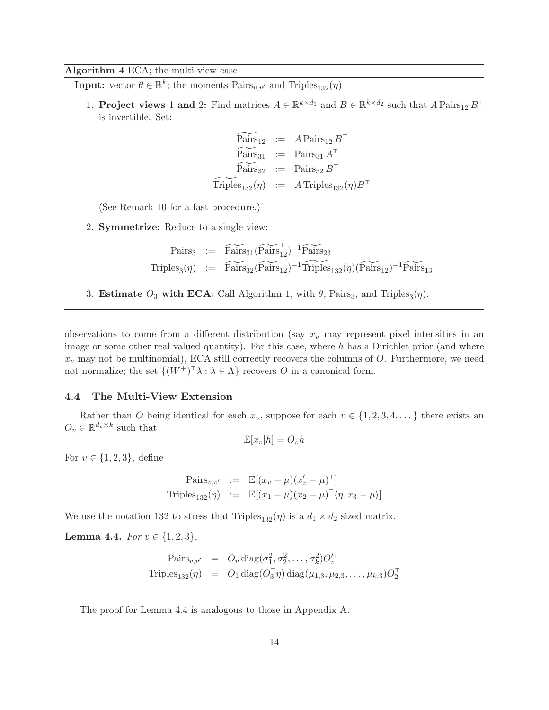## Algorithm 4 ECA; the multi-view case

**Input:** vector  $\theta \in \mathbb{R}^k$ ; the moments  $\text{Pairs}_{v,v'}$  and  $\text{Triples}_{132}(\eta)$ 

1. **Project views** 1 and 2: Find matrices  $A \in \mathbb{R}^{k \times d_1}$  and  $B \in \mathbb{R}^{k \times d_2}$  such that  $A$  Pairs<sub>12</sub>  $B^{\top}$ is invertible. Set:

$$
\widetilde{\text{Pairs}}_{12} := A \, \text{Pairs}_{12} \, B^{\top}
$$
\n
$$
\widetilde{\text{Pairs}}_{31} := \text{Pairs}_{31} \, A^{\top}
$$
\n
$$
\widetilde{\text{Pairs}}_{32} := \text{Pairs}_{32} \, B^{\top}
$$
\n
$$
\widetilde{\text{Triples}}_{132}(\eta) := A \, \text{Triples}_{132}(\eta) B^{\top}
$$

(See Remark 10 for a fast procedure.)

2. Symmetrize: Reduce to a single view:

$$
\begin{array}{rcl}\n\text{Pairs}_3 & := & \widetilde{\text{Pairs}}_{31}(\widetilde{\text{Pairs}}_{12}^{\top})^{-1} \widetilde{\text{Pairs}}_{23} \\
\text{Triples}_3(\eta) & := & \widetilde{\text{Pairs}}_{32}(\widetilde{\text{Pairs}}_{12})^{-1} \widetilde{\text{Triples}}_{132}(\eta) (\widetilde{\text{Pairs}}_{12})^{-1} \widetilde{\text{Pairs}}_{13}\n\end{array}
$$

3. Estimate  $O_3$  with ECA: Call Algorithm 1, with  $\theta$ , Pairs<sub>3</sub>, and Triples<sub>3</sub> $(\eta)$ .

observations to come from a different distribution (say  $x_v$  may represent pixel intensities in an image or some other real valued quantity). For this case, where  $h$  has a Dirichlet prior (and where  $x_v$  may not be multinomial), ECA still correctly recovers the columns of O. Furthermore, we need not normalize; the set  $\{(W^+)^\top \lambda : \lambda \in \Lambda\}$  recovers O in a canonical form.

## 4.4 The Multi-View Extension

Rather than O being identical for each  $x_v$ , suppose for each  $v \in \{1, 2, 3, 4, \dots\}$  there exists an  $O_v \in \mathbb{R}^{d_v \times k}$  such that

$$
\mathbb{E}[x_v|h] = O_vh
$$

For  $v \in \{1, 2, 3\}$ , define

$$
\begin{array}{rcl}\n\text{Pairs}_{v,v'} & := & \mathbb{E}[(x_v - \mu)(x'_v - \mu)^{\top}] \\
\text{Triples}_{132}(\eta) & := & \mathbb{E}[(x_1 - \mu)(x_2 - \mu)^{\top} \langle \eta, x_3 - \mu \rangle]\n\end{array}
$$

We use the notation 132 to stress that Triples<sub>132</sub>( $\eta$ ) is a  $d_1 \times d_2$  sized matrix.

Lemma 4.4. *For*  $v \in \{1, 2, 3\}$ *,* 

$$
\begin{array}{rcl}\n\text{Pairs}_{v,v'} & = & O_v \, \text{diag}(\sigma_1^2, \sigma_2^2, \dots, \sigma_k^2) O_v'^\top \\
\text{Triples}_{132}(\eta) & = & O_1 \, \text{diag}(O_3^\top \eta) \, \text{diag}(\mu_{1,3}, \mu_{2,3}, \dots, \mu_{k,3}) O_2^\top\n\end{array}
$$

The proof for Lemma 4.4 is analogous to those in Appendix A.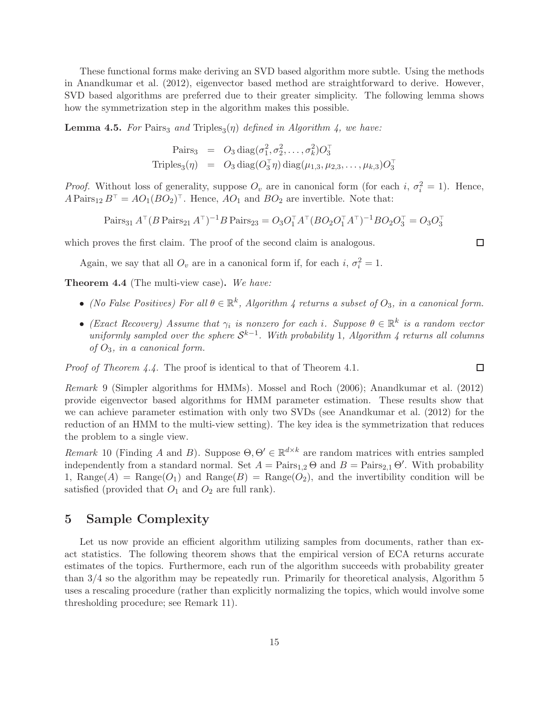These functional forms make deriving an SVD based algorithm more subtle. Using the methods in Anandkumar et al. (2012), eigenvector based method are straightforward to derive. However, SVD based algorithms are preferred due to their greater simplicity. The following lemma shows how the symmetrization step in the algorithm makes this possible.

**Lemma 4.5.** For Pairs<sub>3</sub> and Triples<sub>3</sub> $(\eta)$  defined in Algorithm 4, we have:

$$
\begin{array}{rcl}\n\text{Pairs}_3 & = & O_3 \operatorname{diag}(\sigma_1^2, \sigma_2^2, \dots, \sigma_k^2) O_3^\top \\
\text{Triples}_3(\eta) & = & O_3 \operatorname{diag}(O_3^\top \eta) \operatorname{diag}(\mu_{1,3}, \mu_{2,3}, \dots, \mu_{k,3}) O_3^\top\n\end{array}
$$

*Proof.* Without loss of generality, suppose  $O_v$  are in canonical form (for each i,  $\sigma_i^2 = 1$ ). Hence,  $A \text{ Pairs}_{12} B^{\dagger} = AO_{1}(BO_{2})^{\dagger}$ . Hence,  $AO_{1}$  and  $BO_{2}$  are invertible. Note that:

Pairs<sub>31</sub>  $A^{\top} (B \text{ Pairs}_{21} A^{\top})^{-1} B \text{ Pairs}_{23} = O_3 O_1^{\top} A^{\top} (BO_2 O_1^{\top} A^{\top})^{-1} BO_2 O_3^{\top} = O_3 O_3^{\top}$ 

which proves the first claim. The proof of the second claim is analogous.

Again, we say that all  $O_v$  are in a canonical form if, for each i,  $\sigma_i^2 = 1$ .

Theorem 4.4 (The multi-view case). *We have:*

- *(No False Positives) For all*  $\theta \in \mathbb{R}^k$ , *Algorithm 4 returns a subset of*  $O_3$ *, in a canonical form.*
- *(Exact Recovery)* Assume that  $\gamma_i$  is nonzero for each i. Suppose  $\theta \in \mathbb{R}^k$  is a random vector  $uniformly sampled over the sphere S<sup>k-1</sup>$ . With probability 1, Algorithm 4 returns all columns *of* O3*, in a canonical form.*

*Proof of Theorem 4.4.* The proof is identical to that of Theorem 4.1.

*Remark* 9 (Simpler algorithms for HMMs)*.* Mossel and Roch (2006); Anandkumar et al. (2012) provide eigenvector based algorithms for HMM parameter estimation. These results show that we can achieve parameter estimation with only two SVDs (see Anandkumar et al. (2012) for the reduction of an HMM to the multi-view setting). The key idea is the symmetrization that reduces the problem to a single view.

*Remark* 10 (Finding A and B). Suppose  $\Theta$ ,  $\Theta' \in \mathbb{R}^{d \times k}$  are random matrices with entries sampled independently from a standard normal. Set  $A = \text{Pairs}_{1,2} \Theta$  and  $B = \text{Pairs}_{2,1} \Theta'$ . With probability 1, Range(A) = Range(O<sub>1</sub>) and Range(B) = Range(O<sub>2</sub>), and the invertibility condition will be satisfied (provided that  $O_1$  and  $O_2$  are full rank).

## 5 Sample Complexity

Let us now provide an efficient algorithm utilizing samples from documents, rather than exact statistics. The following theorem shows that the empirical version of ECA returns accurate estimates of the topics. Furthermore, each run of the algorithm succeeds with probability greater than 3/4 so the algorithm may be repeatedly run. Primarily for theoretical analysis, Algorithm 5 uses a rescaling procedure (rather than explicitly normalizing the topics, which would involve some thresholding procedure; see Remark 11).

 $\Box$ 

 $\Box$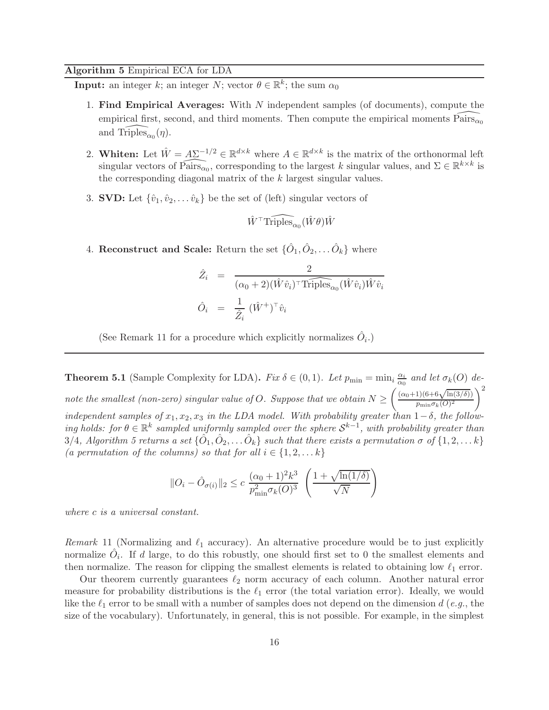## Algorithm 5 Empirical ECA for LDA

**Input:** an integer k; an integer N; vector  $\theta \in \mathbb{R}^k$ ; the sum  $\alpha_0$ 

- 1. Find Empirical Averages: With N independent samples (of documents), compute the empirical first, second, and third moments. Then compute the empirical moments  $\widehat{Pairs}_{\alpha0}$ and  $\widehat{\text{Triples}}_{\alpha_0}(\eta)$ .
- 2. Whiten: Let  $\hat{W} = \underline{A\Sigma^{-1/2}} \in \mathbb{R}^{d \times k}$  where  $A \in \mathbb{R}^{d \times k}$  is the matrix of the orthonormal left singular vectors of  $\widehat{\text{Pairs}_{\alpha_0}}$ , corresponding to the largest k singular values, and  $\Sigma \in \mathbb{R}^{k \times k}$  is the corresponding diagonal matrix of the  $k$  largest singular values.
- 3. **SVD:** Let  $\{\hat{v}_1, \hat{v}_2, \dots, \hat{v}_k\}$  be the set of (left) singular vectors of

$$
\hat{W}^\top \widehat{\text{Triples}}_{\alpha_0}(\hat{W}\theta)\hat{W}
$$

4. Reconstruct and Scale: Return the set  $\{\hat{O}_1, \hat{O}_2, \dots \hat{O}_k\}$  where

$$
\hat{Z}_i = \frac{2}{(\alpha_0 + 2)(\hat{W}\hat{v}_i)^{\top} \widehat{\text{Triples}}_{\alpha_0}(\hat{W}\hat{v}_i)\hat{W}\hat{v}_i}
$$

$$
\hat{O}_i = \frac{1}{\hat{Z}_i} (\hat{W}^+)^{\top} \hat{v}_i
$$

(See Remark 11 for a procedure which explicitly normalizes  $\hat{O}_i$ .)

**Theorem 5.1** (Sample Complexity for LDA). *Fix*  $\delta \in (0,1)$ *. Let*  $p_{\min} = \min_i \frac{\alpha_i}{\alpha_0}$  $\frac{\alpha_i}{\alpha_0}$  and let  $\sigma_k(O)$  de*note the smallest (non-zero) singular value of*  $O$ *. Suppose that we obtain*  $N \geq$  $\int (\alpha_0+1)(6+6\sqrt{\ln(3/\delta)})$  $p_{\min} \sigma_k(O)^2$  $\setminus^2$ *independent samples of*  $x_1, x_2, x_3$  *in the LDA model. With probability greater than*  $1-\delta$ *, the follow-* $\{f \in \mathbb{R}^k\}$  *sampled uniformly sampled over the sphere*  $\mathcal{S}^{k-1}$ , with probability greater than  $3/4$ , Algorithm 5 returns a set  $\{\hat{O}_1, \hat{O}_2, \dots \hat{O}_k\}$  such that there exists a permutation  $\sigma$  of  $\{1, 2, \dots k\}$ *(a permutation of the columns) so that for all*  $i \in \{1, 2, \ldots k\}$ 

$$
||O_i - \hat{O}_{\sigma(i)}||_2 \le c \frac{(\alpha_0 + 1)^2 k^3}{p_{\min}^2 \sigma_k(O)^3} \left(\frac{1 + \sqrt{\ln(1/\delta)}}{\sqrt{N}}\right)
$$

*where* c *is a universal constant.*

*Remark* 11 (Normalizing and  $\ell_1$  accuracy). An alternative procedure would be to just explicitly normalize  $\hat{O}_i$ . If d large, to do this robustly, one should first set to 0 the smallest elements and then normalize. The reason for clipping the smallest elements is related to obtaining low  $\ell_1$  error.

Our theorem currently guarantees  $\ell_2$  norm accuracy of each column. Another natural error measure for probability distributions is the  $\ell_1$  error (the total variation error). Ideally, we would like the  $\ell_1$  error to be small with a number of samples does not depend on the dimension  $d$  (*e.g.*, the size of the vocabulary). Unfortunately, in general, this is not possible. For example, in the simplest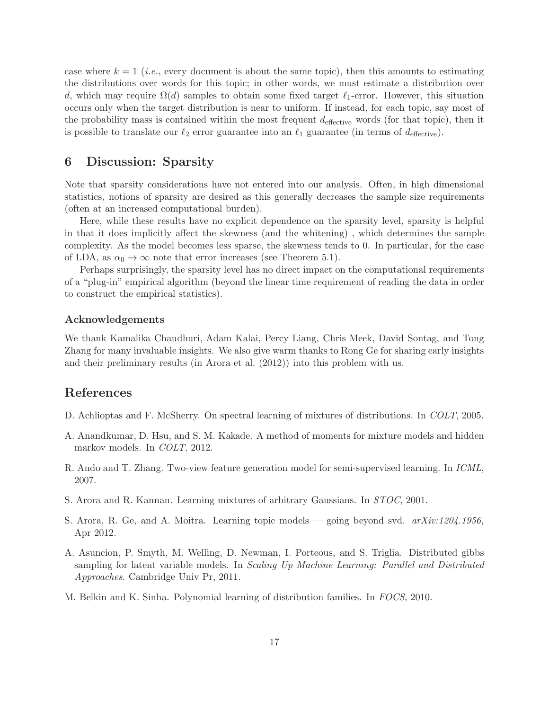case where  $k = 1$  (*i.e.*, every document is about the same topic), then this amounts to estimating the distributions over words for this topic; in other words, we must estimate a distribution over d, which may require  $\Omega(d)$  samples to obtain some fixed target  $\ell_1$ -error. However, this situation occurs only when the target distribution is near to uniform. If instead, for each topic, say most of the probability mass is contained within the most frequent  $d_{\text{effective}}$  words (for that topic), then it is possible to translate our  $\ell_2$  error guarantee into an  $\ell_1$  guarantee (in terms of  $d_{\text{effective}}$ ).

## 6 Discussion: Sparsity

Note that sparsity considerations have not entered into our analysis. Often, in high dimensional statistics, notions of sparsity are desired as this generally decreases the sample size requirements (often at an increased computational burden).

Here, while these results have no explicit dependence on the sparsity level, sparsity is helpful in that it does implicitly affect the skewness (and the whitening) , which determines the sample complexity. As the model becomes less sparse, the skewness tends to 0. In particular, for the case of LDA, as  $\alpha_0 \to \infty$  note that error increases (see Theorem 5.1).

Perhaps surprisingly, the sparsity level has no direct impact on the computational requirements of a "plug-in" empirical algorithm (beyond the linear time requirement of reading the data in order to construct the empirical statistics).

#### Acknowledgements

We thank Kamalika Chaudhuri, Adam Kalai, Percy Liang, Chris Meek, David Sontag, and Tong Zhang for many invaluable insights. We also give warm thanks to Rong Ge for sharing early insights and their preliminary results (in Arora et al. (2012)) into this problem with us.

## References

- D. Achlioptas and F. McSherry. On spectral learning of mixtures of distributions. In *COLT*, 2005.
- A. Anandkumar, D. Hsu, and S. M. Kakade. A method of moments for mixture models and hidden markov models. In *COLT*, 2012.
- R. Ando and T. Zhang. Two-view feature generation model for semi-supervised learning. In *ICML*, 2007.
- S. Arora and R. Kannan. Learning mixtures of arbitrary Gaussians. In *STOC*, 2001.
- S. Arora, R. Ge, and A. Moitra. Learning topic models going beyond svd. *arXiv:1204.1956*, Apr 2012.
- A. Asuncion, P. Smyth, M. Welling, D. Newman, I. Porteous, and S. Triglia. Distributed gibbs sampling for latent variable models. In *Scaling Up Machine Learning: Parallel and Distributed Approaches*. Cambridge Univ Pr, 2011.
- M. Belkin and K. Sinha. Polynomial learning of distribution families. In *FOCS*, 2010.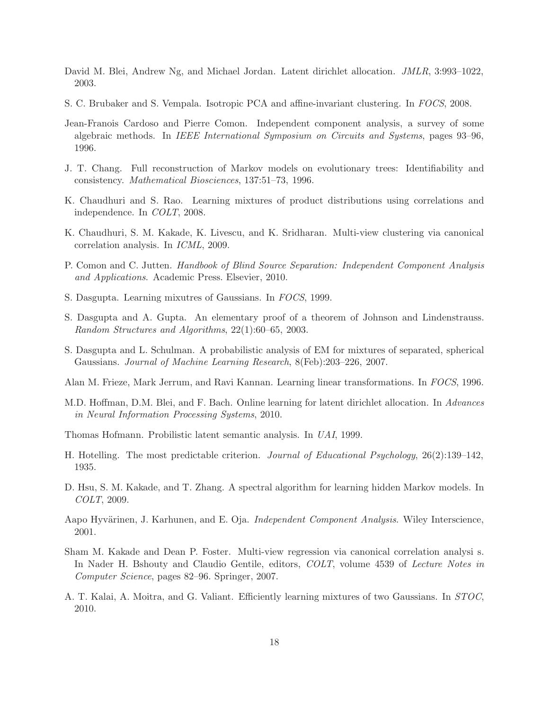- David M. Blei, Andrew Ng, and Michael Jordan. Latent dirichlet allocation. *JMLR*, 3:993–1022, 2003.
- S. C. Brubaker and S. Vempala. Isotropic PCA and affine-invariant clustering. In *FOCS*, 2008.
- Jean-Franois Cardoso and Pierre Comon. Independent component analysis, a survey of some algebraic methods. In *IEEE International Symposium on Circuits and Systems*, pages 93–96, 1996.
- J. T. Chang. Full reconstruction of Markov models on evolutionary trees: Identifiability and consistency. *Mathematical Biosciences*, 137:51–73, 1996.
- K. Chaudhuri and S. Rao. Learning mixtures of product distributions using correlations and independence. In *COLT*, 2008.
- K. Chaudhuri, S. M. Kakade, K. Livescu, and K. Sridharan. Multi-view clustering via canonical correlation analysis. In *ICML*, 2009.
- P. Comon and C. Jutten. *Handbook of Blind Source Separation: Independent Component Analysis and Applications*. Academic Press. Elsevier, 2010.
- S. Dasgupta. Learning mixutres of Gaussians. In *FOCS*, 1999.
- S. Dasgupta and A. Gupta. An elementary proof of a theorem of Johnson and Lindenstrauss. *Random Structures and Algorithms*, 22(1):60–65, 2003.
- S. Dasgupta and L. Schulman. A probabilistic analysis of EM for mixtures of separated, spherical Gaussians. *Journal of Machine Learning Research*, 8(Feb):203–226, 2007.
- Alan M. Frieze, Mark Jerrum, and Ravi Kannan. Learning linear transformations. In *FOCS*, 1996.
- M.D. Hoffman, D.M. Blei, and F. Bach. Online learning for latent dirichlet allocation. In *Advances in Neural Information Processing Systems*, 2010.
- Thomas Hofmann. Probilistic latent semantic analysis. In *UAI*, 1999.
- H. Hotelling. The most predictable criterion. *Journal of Educational Psychology*, 26(2):139–142, 1935.
- D. Hsu, S. M. Kakade, and T. Zhang. A spectral algorithm for learning hidden Markov models. In *COLT*, 2009.
- Aapo Hyvärinen, J. Karhunen, and E. Oja. *Independent Component Analysis*. Wiley Interscience, 2001.
- Sham M. Kakade and Dean P. Foster. Multi-view regression via canonical correlation analysi s. In Nader H. Bshouty and Claudio Gentile, editors, *COLT*, volume 4539 of *Lecture Notes in Computer Science*, pages 82–96. Springer, 2007.
- A. T. Kalai, A. Moitra, and G. Valiant. Efficiently learning mixtures of two Gaussians. In *STOC*, 2010.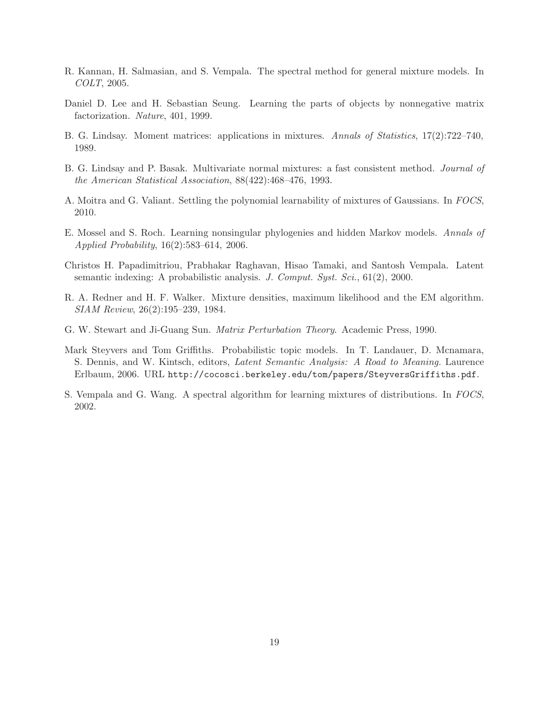- R. Kannan, H. Salmasian, and S. Vempala. The spectral method for general mixture models. In *COLT*, 2005.
- Daniel D. Lee and H. Sebastian Seung. Learning the parts of objects by nonnegative matrix factorization. *Nature*, 401, 1999.
- B. G. Lindsay. Moment matrices: applications in mixtures. *Annals of Statistics*, 17(2):722–740, 1989.
- B. G. Lindsay and P. Basak. Multivariate normal mixtures: a fast consistent method. *Journal of the American Statistical Association*, 88(422):468–476, 1993.
- A. Moitra and G. Valiant. Settling the polynomial learnability of mixtures of Gaussians. In *FOCS*, 2010.
- E. Mossel and S. Roch. Learning nonsingular phylogenies and hidden Markov models. *Annals of Applied Probability*, 16(2):583–614, 2006.
- Christos H. Papadimitriou, Prabhakar Raghavan, Hisao Tamaki, and Santosh Vempala. Latent semantic indexing: A probabilistic analysis. *J. Comput. Syst. Sci.*, 61(2), 2000.
- R. A. Redner and H. F. Walker. Mixture densities, maximum likelihood and the EM algorithm. *SIAM Review*, 26(2):195–239, 1984.
- G. W. Stewart and Ji-Guang Sun. *Matrix Perturbation Theory*. Academic Press, 1990.
- Mark Steyvers and Tom Griffiths. Probabilistic topic models. In T. Landauer, D. Mcnamara, S. Dennis, and W. Kintsch, editors, *Latent Semantic Analysis: A Road to Meaning.* Laurence Erlbaum, 2006. URL http://cocosci.berkeley.edu/tom/papers/SteyversGriffiths.pdf.
- S. Vempala and G. Wang. A spectral algorithm for learning mixtures of distributions. In *FOCS*, 2002.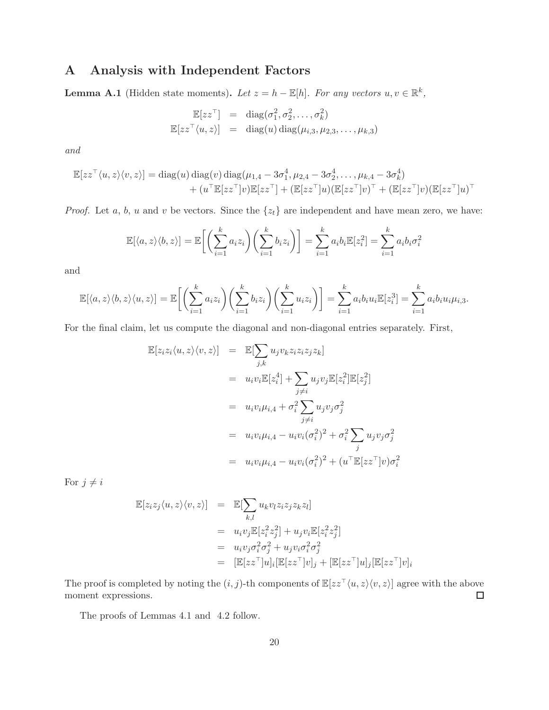# A Analysis with Independent Factors

**Lemma A.1** (Hidden state moments). Let  $z = h - \mathbb{E}[h]$ . For any vectors  $u, v \in \mathbb{R}^k$ ,

$$
\mathbb{E}[zz^{\top}] = \text{diag}(\sigma_1^2, \sigma_2^2, \dots, \sigma_k^2)
$$
  

$$
\mathbb{E}[zz^{\top}\langle u, z\rangle] = \text{diag}(u) \text{diag}(\mu_{i,3}, \mu_{2,3}, \dots, \mu_{k,3})
$$

*and*

$$
\mathbb{E}[zz^{\top}\langle u,z\rangle\langle v,z\rangle] = \text{diag}(u)\,\text{diag}(v)\,\text{diag}(\mu_{1,4} - 3\sigma_1^4, \mu_{2,4} - 3\sigma_2^4, \dots, \mu_{k,4} - 3\sigma_k^4) + (u^{\top}\mathbb{E}[zz^{\top}]v)\mathbb{E}[zz^{\top}] + (\mathbb{E}[zz^{\top}]u)(\mathbb{E}[zz^{\top}]v)^{\top} + (\mathbb{E}[zz^{\top}]v)(\mathbb{E}[zz^{\top}]u)^{\top}
$$

*Proof.* Let a, b, u and v be vectors. Since the  $\{z_t\}$  are independent and have mean zero, we have:

$$
\mathbb{E}[\langle a, z \rangle \langle b, z \rangle] = \mathbb{E}\bigg[\bigg(\sum_{i=1}^k a_i z_i\bigg) \bigg(\sum_{i=1}^k b_i z_i\bigg)\bigg] = \sum_{i=1}^k a_i b_i \mathbb{E}[z_i^2] = \sum_{i=1}^k a_i b_i \sigma_i^2
$$

and

$$
\mathbb{E}[\langle a,z\rangle\langle b,z\rangle\langle u,z\rangle] = \mathbb{E}\bigg[\bigg(\sum_{i=1}^k a_i z_i\bigg)\bigg(\sum_{i=1}^k b_i z_i\bigg)\bigg(\sum_{i=1}^k u_i z_i\bigg)\bigg] = \sum_{i=1}^k a_i b_i u_i \mathbb{E}[z_i^3] = \sum_{i=1}^k a_i b_i u_i \mu_{i,3}.
$$

For the final claim, let us compute the diagonal and non-diagonal entries separately. First,

$$
\mathbb{E}[z_i z_i \langle u, z \rangle \langle v, z \rangle] = \mathbb{E}[\sum_{j,k} u_j v_k z_i z_i z_j z_k]
$$
  
\n
$$
= u_i v_i \mathbb{E}[z_i^4] + \sum_{j \neq i} u_j v_j \mathbb{E}[z_i^2] \mathbb{E}[z_j^2]
$$
  
\n
$$
= u_i v_i \mu_{i,4} + \sigma_i^2 \sum_{j \neq i} u_j v_j \sigma_j^2
$$
  
\n
$$
= u_i v_i \mu_{i,4} - u_i v_i (\sigma_i^2)^2 + \sigma_i^2 \sum_j u_j v_j \sigma_j^2
$$
  
\n
$$
= u_i v_i \mu_{i,4} - u_i v_i (\sigma_i^2)^2 + (u^\top \mathbb{E}[zz^\top] v) \sigma_i^2
$$

For  $j \neq i$ 

$$
\mathbb{E}[z_i z_j \langle u, z \rangle \langle v, z \rangle] = \mathbb{E}[\sum_{k,l} u_k v_l z_i z_j z_k z_l]
$$
  
\n
$$
= u_i v_j \mathbb{E}[z_i^2 z_j^2] + u_j v_i \mathbb{E}[z_i^2 z_j^2]
$$
  
\n
$$
= u_i v_j \sigma_i^2 \sigma_j^2 + u_j v_i \sigma_i^2 \sigma_j^2
$$
  
\n
$$
= [\mathbb{E}[z z^\top]u]_i [\mathbb{E}[z z^\top]v]_j + [\mathbb{E}[z z^\top]u]_j [\mathbb{E}[z z^\top]v]_i
$$

The proof is completed by noting the  $(i, j)$ -th components of  $\mathbb{E}[zz^{\top}\langle u, z\rangle\langle v, z\rangle]$  agree with the above moment expressions. moment expressions.

The proofs of Lemmas 4.1 and 4.2 follow.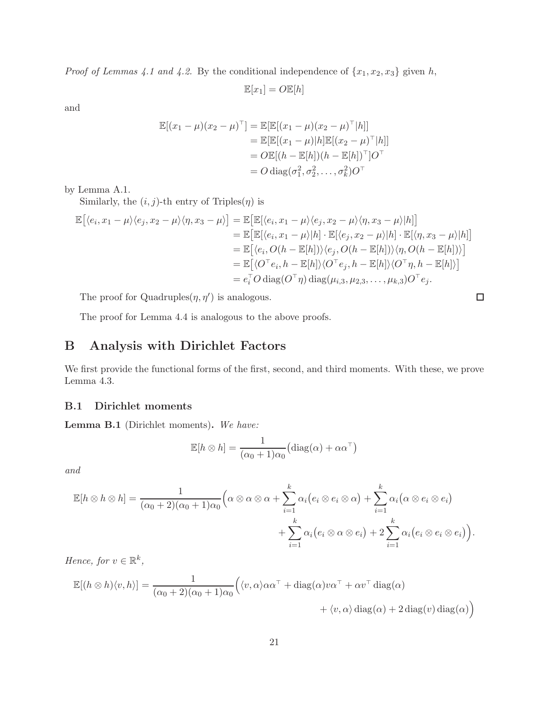*Proof of Lemmas 4.1 and 4.2.* By the conditional independence of  $\{x_1, x_2, x_3\}$  given h,

$$
\mathbb{E}[x_1] = O\mathbb{E}[h]
$$

and

$$
\mathbb{E}[(x_1 - \mu)(x_2 - \mu)^{\top}] = \mathbb{E}[\mathbb{E}[(x_1 - \mu)(x_2 - \mu)^{\top} | h]]
$$
  
\n
$$
= \mathbb{E}[\mathbb{E}[(x_1 - \mu)|h]\mathbb{E}[(x_2 - \mu)^{\top} | h]]
$$
  
\n
$$
= O \mathbb{E}[(h - \mathbb{E}[h])(h - \mathbb{E}[h])^{\top}]O^{\top}
$$
  
\n
$$
= O \operatorname{diag}(\sigma_1^2, \sigma_2^2, \dots, \sigma_k^2)O^{\top}
$$

by Lemma A.1.

Similarly, the  $(i, j)$ -th entry of Triples $(\eta)$  is

$$
\mathbb{E}[\langle e_i, x_1 - \mu \rangle \langle e_j, x_2 - \mu \rangle \langle \eta, x_3 - \mu \rangle] = \mathbb{E}[\mathbb{E}[\langle e_i, x_1 - \mu \rangle \langle e_j, x_2 - \mu \rangle \langle \eta, x_3 - \mu \rangle | h]]
$$
  
\n
$$
= \mathbb{E}[\mathbb{E}[\langle e_i, x_1 - \mu \rangle | h] \cdot \mathbb{E}[\langle e_j, x_2 - \mu \rangle | h] \cdot \mathbb{E}[\langle \eta, x_3 - \mu \rangle | h]]
$$
  
\n
$$
= \mathbb{E}[\langle e_i, O(h - \mathbb{E}[h]) \rangle \langle e_j, O(h - \mathbb{E}[h]) \rangle \langle \eta, O(h - \mathbb{E}[h]) \rangle]
$$
  
\n
$$
= \mathbb{E}[\langle O^\top e_i, h - \mathbb{E}[h] \rangle \langle O^\top e_j, h - \mathbb{E}[h] \rangle \langle O^\top \eta, h - \mathbb{E}[h] \rangle]
$$
  
\n
$$
= e_i^\top O \operatorname{diag}(O^\top \eta) \operatorname{diag}(\mu_{i,3}, \mu_{2,3}, \dots, \mu_{k,3}) O^\top e_j.
$$

 $\Box$ 

The proof for Quadruples $(\eta, \eta')$  is analogous.

The proof for Lemma 4.4 is analogous to the above proofs.

# B Analysis with Dirichlet Factors

We first provide the functional forms of the first, second, and third moments. With these, we prove Lemma 4.3.

#### B.1 Dirichlet moments

Lemma B.1 (Dirichlet moments). *We have:*

$$
\mathbb{E}[h \otimes h] = \frac{1}{(\alpha_0 + 1)\alpha_0} (\text{diag}(\alpha) + \alpha \alpha^{\top})
$$

*and*

$$
\mathbb{E}[h \otimes h \otimes h] = \frac{1}{(\alpha_0 + 2)(\alpha_0 + 1)\alpha_0} \Big( \alpha \otimes \alpha \otimes \alpha + \sum_{i=1}^k \alpha_i (e_i \otimes e_i \otimes \alpha) + \sum_{i=1}^k \alpha_i (\alpha \otimes e_i \otimes e_i) + \sum_{i=1}^k \alpha_i (e_i \otimes \alpha \otimes e_i) + 2 \sum_{i=1}^k \alpha_i (e_i \otimes e_i \otimes e_i) \Big).
$$

*Hence, for*  $v \in \mathbb{R}^k$ ,

$$
\mathbb{E}[(h \otimes h)\langle v, h\rangle] = \frac{1}{(\alpha_0 + 2)(\alpha_0 + 1)\alpha_0} \Big(\langle v, \alpha \rangle \alpha \alpha^{\top} + \text{diag}(\alpha)v\alpha^{\top} + \alpha v^{\top} \text{diag}(\alpha) + \langle v, \alpha \rangle \text{diag}(\alpha) + 2 \text{diag}(v) \text{diag}(\alpha) \Big)
$$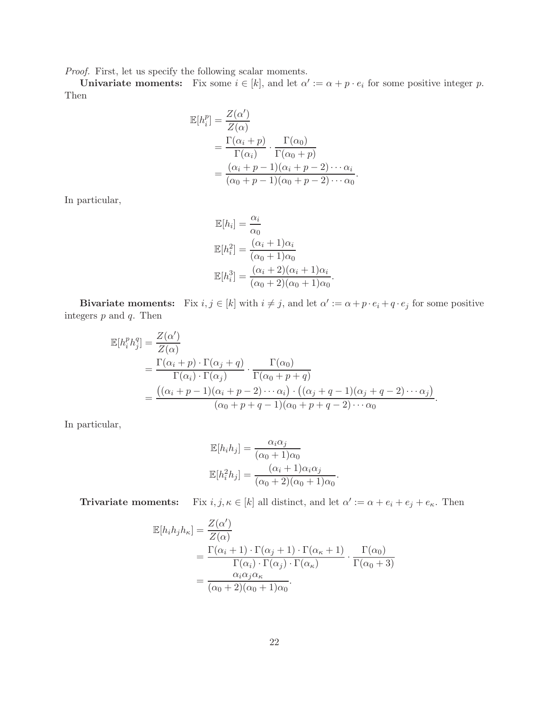*Proof.* First, let us specify the following scalar moments.

**Univariate moments:** Fix some  $i \in [k]$ , and let  $\alpha' := \alpha + p \cdot e_i$  for some positive integer p. Then

$$
\mathbb{E}[h_i^p] = \frac{Z(\alpha')}{Z(\alpha)}
$$
  
= 
$$
\frac{\Gamma(\alpha_i + p)}{\Gamma(\alpha_i)} \cdot \frac{\Gamma(\alpha_0)}{\Gamma(\alpha_0 + p)}
$$
  
= 
$$
\frac{(\alpha_i + p - 1)(\alpha_i + p - 2) \cdots \alpha_i}{(\alpha_0 + p - 1)(\alpha_0 + p - 2) \cdots \alpha_0}.
$$

In particular,

$$
\mathbb{E}[h_i] = \frac{\alpha_i}{\alpha_0}
$$
  
\n
$$
\mathbb{E}[h_i^2] = \frac{(\alpha_i + 1)\alpha_i}{(\alpha_0 + 1)\alpha_0}
$$
  
\n
$$
\mathbb{E}[h_i^3] = \frac{(\alpha_i + 2)(\alpha_i + 1)\alpha_i}{(\alpha_0 + 2)(\alpha_0 + 1)\alpha_0}.
$$

**Bivariate moments:** Fix  $i, j \in [k]$  with  $i \neq j$ , and let  $\alpha' := \alpha + p \cdot e_i + q \cdot e_j$  for some positive integers  $p$  and  $q$ . Then

$$
\mathbb{E}[h_i^p h_j^q] = \frac{Z(\alpha')}{Z(\alpha)}
$$
\n
$$
= \frac{\Gamma(\alpha_i + p) \cdot \Gamma(\alpha_j + q)}{\Gamma(\alpha_i) \cdot \Gamma(\alpha_j)} \cdot \frac{\Gamma(\alpha_0)}{\Gamma(\alpha_0 + p + q)}
$$
\n
$$
= \frac{((\alpha_i + p - 1)(\alpha_i + p - 2) \cdots \alpha_i) \cdot ((\alpha_j + q - 1)(\alpha_j + q - 2) \cdots \alpha_j)}{(\alpha_0 + p + q - 1)(\alpha_0 + p + q - 2) \cdots \alpha_0}.
$$

In particular,

$$
\mathbb{E}[h_i h_j] = \frac{\alpha_i \alpha_j}{(\alpha_0 + 1)\alpha_0}
$$

$$
\mathbb{E}[h_i^2 h_j] = \frac{(\alpha_i + 1)\alpha_i \alpha_j}{(\alpha_0 + 2)(\alpha_0 + 1)\alpha_0}.
$$

**Trivariate moments:** Fix  $i, j, \kappa \in [k]$  all distinct, and let  $\alpha' := \alpha + e_i + e_j + e_{\kappa}$ . Then

$$
\mathbb{E}[h_i h_j h_\kappa] = \frac{Z(\alpha')}{Z(\alpha)} \n= \frac{\Gamma(\alpha_i + 1) \cdot \Gamma(\alpha_j + 1) \cdot \Gamma(\alpha_\kappa + 1)}{\Gamma(\alpha_i) \cdot \Gamma(\alpha_j) \cdot \Gamma(\alpha_\kappa)} \cdot \frac{\Gamma(\alpha_0)}{\Gamma(\alpha_0 + 3)} \n= \frac{\alpha_i \alpha_j \alpha_\kappa}{(\alpha_0 + 2)(\alpha_0 + 1)\alpha_0}.
$$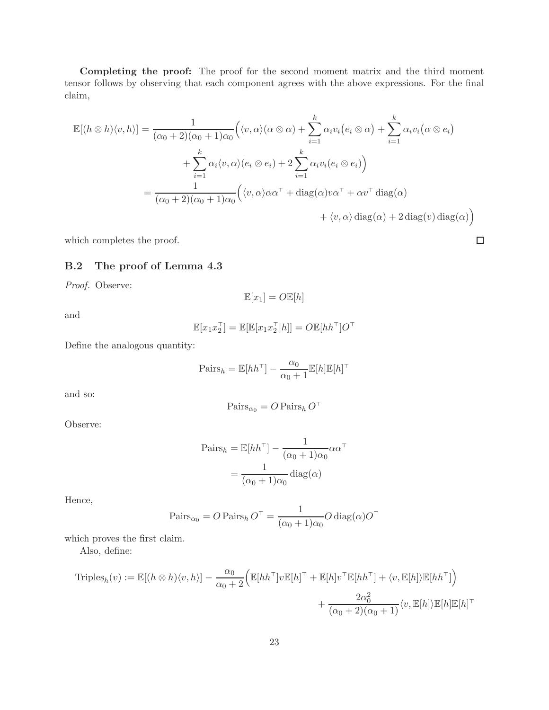Completing the proof: The proof for the second moment matrix and the third moment tensor follows by observing that each component agrees with the above expressions. For the final claim,

$$
\mathbb{E}[(h \otimes h)\langle v, h\rangle] = \frac{1}{(\alpha_0 + 2)(\alpha_0 + 1)\alpha_0} \Big( \langle v, \alpha \rangle (\alpha \otimes \alpha) + \sum_{i=1}^k \alpha_i v_i (e_i \otimes \alpha) + \sum_{i=1}^k \alpha_i v_i (\alpha \otimes e_i) + \sum_{i=1}^k \alpha_i \langle v, \alpha \rangle (e_i \otimes e_i) + 2 \sum_{i=1}^k \alpha_i v_i (e_i \otimes e_i) \Big)
$$
  
= 
$$
\frac{1}{(\alpha_0 + 2)(\alpha_0 + 1)\alpha_0} \Big( \langle v, \alpha \rangle \alpha \alpha^{\top} + \text{diag}(\alpha) v \alpha^{\top} + \alpha v^{\top} \text{diag}(\alpha) + \langle v, \alpha \rangle \text{diag}(\alpha) + 2 \text{diag}(v) \text{diag}(\alpha) \Big)
$$

which completes the proof.

## B.2 The proof of Lemma 4.3

*Proof.* Observe:

$$
\mathbb{E}[x_1] = O \mathbb{E}[h]
$$

and

$$
\mathbb{E}[x_1 x_2^{\top}] = \mathbb{E}[\mathbb{E}[x_1 x_2^{\top} | h]] = O \mathbb{E}[h h^{\top}] O^{\top}
$$

Define the analogous quantity:

$$
\mathrm{Pairs}_h = \mathbb{E}[hh^\top] - \frac{\alpha_0}{\alpha_0 + 1} \mathbb{E}[h] \mathbb{E}[h]^\top
$$

and so:

$$
\operatorname{Pairs}_{\alpha_0} = O \operatorname{Pairs}_h O^\top
$$

Observe:

$$
\text{Pairs}_h = \mathbb{E}[hh^\top] - \frac{1}{(\alpha_0 + 1)\alpha_0} \alpha \alpha^\top
$$

$$
= \frac{1}{(\alpha_0 + 1)\alpha_0} \text{diag}(\alpha)
$$

Hence,

$$
\operatorname{Pairs}_{\alpha_0} = O \operatorname{Pairs}_h O^\top = \frac{1}{(\alpha_0 + 1)\alpha_0} O \operatorname{diag}(\alpha) O^\top
$$

which proves the first claim.

Also, define:

$$
\text{Triples}_h(v) := \mathbb{E}[(h \otimes h)\langle v, h\rangle] - \frac{\alpha_0}{\alpha_0 + 2} \Big(\mathbb{E}[hh^\top]v\mathbb{E}[h]^\top + \mathbb{E}[h]v^\top\mathbb{E}[hh^\top] + \langle v, \mathbb{E}[h]\rangle\mathbb{E}[hh^\top] \Big) + \frac{2\alpha_0^2}{(\alpha_0 + 2)(\alpha_0 + 1)}\langle v, \mathbb{E}[h]\mathbb{E}[h]\mathbb{E}[h]^\top
$$

 $\Box$ 

 $\overline{ }$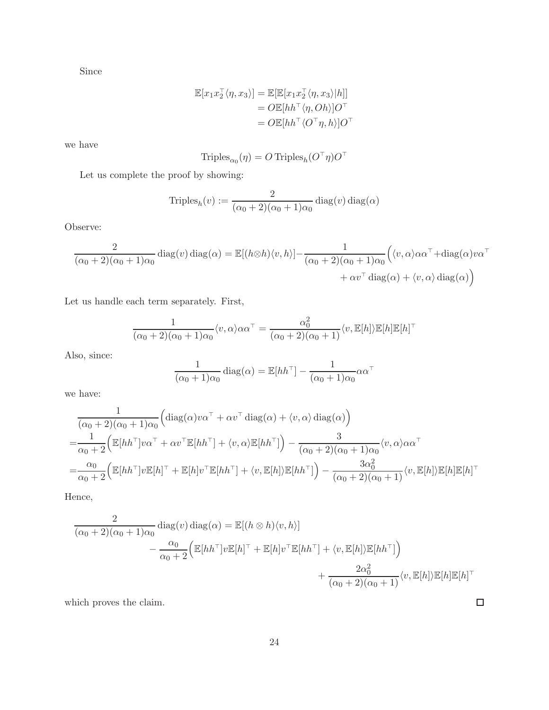Since

$$
\mathbb{E}[x_1x_2^\top \langle \eta, x_3 \rangle] = \mathbb{E}[\mathbb{E}[x_1x_2^\top \langle \eta, x_3 \rangle | h]]
$$
  
=  $O \mathbb{E}[h h^\top \langle \eta, Oh \rangle] O^\top$   
=  $O \mathbb{E}[h h^\top \langle O^\top \eta, h \rangle] O^\top$ 

we have

$$
\operatorname{Triples}_{\alpha_0}(\eta)=O\operatorname{Triples}_h(O^\top\eta)O^\top
$$

Let us complete the proof by showing:

$$
\text{Triples}_h(v) := \frac{2}{(\alpha_0 + 2)(\alpha_0 + 1)\alpha_0} \text{diag}(v) \text{ diag}(\alpha)
$$

Observe:

$$
\frac{2}{(\alpha_0+2)(\alpha_0+1)\alpha_0} \operatorname{diag}(v) \operatorname{diag}(\alpha) = \mathbb{E}[(h \otimes h)\langle v, h\rangle] - \frac{1}{(\alpha_0+2)(\alpha_0+1)\alpha_0} \Big(\langle v, \alpha \rangle \alpha \alpha^\top + \operatorname{diag}(\alpha) v \alpha^\top + \alpha v^\top \operatorname{diag}(\alpha) + \langle v, \alpha \rangle \operatorname{diag}(\alpha) \Big)
$$

Let us handle each term separately. First,

$$
\frac{1}{(\alpha_0+2)(\alpha_0+1)\alpha_0} \langle v, \alpha \rangle \alpha \alpha^{\top} = \frac{\alpha_0^2}{(\alpha_0+2)(\alpha_0+1)} \langle v, \mathbb{E}[h] \rangle \mathbb{E}[h] \mathbb{E}[h]^{\top}
$$

Also, since:

$$
\frac{1}{(\alpha_0+1)\alpha_0} \operatorname{diag}(\alpha) = \mathbb{E}[hh^{\top}] - \frac{1}{(\alpha_0+1)\alpha_0} \alpha \alpha^{\top}
$$

we have:

$$
\frac{1}{(\alpha_0+2)(\alpha_0+1)\alpha_0} \Big( \text{diag}(\alpha)v\alpha^{\top} + \alpha v^{\top} \text{diag}(\alpha) + \langle v, \alpha \rangle \text{diag}(\alpha) \Big)
$$
\n
$$
= \frac{1}{\alpha_0+2} \Big( \mathbb{E}[hh^{\top}]v\alpha^{\top} + \alpha v^{\top} \mathbb{E}[hh^{\top}] + \langle v, \alpha \rangle \mathbb{E}[hh^{\top}] \Big) - \frac{3}{(\alpha_0+2)(\alpha_0+1)\alpha_0} \langle v, \alpha \rangle \alpha \alpha^{\top}
$$
\n
$$
= \frac{\alpha_0}{\alpha_0+2} \Big( \mathbb{E}[hh^{\top}]v\mathbb{E}[h]^{\top} + \mathbb{E}[h]v^{\top}\mathbb{E}[hh^{\top}] + \langle v, \mathbb{E}[h] \rangle \mathbb{E}[hh^{\top}] \Big) - \frac{3\alpha_0^2}{(\alpha_0+2)(\alpha_0+1)} \langle v, \mathbb{E}[h] \rangle \mathbb{E}[h] \mathbb{E}[h]^{\top}
$$

Hence,

$$
\frac{2}{(\alpha_0+2)(\alpha_0+1)\alpha_0} \operatorname{diag}(v) \operatorname{diag}(\alpha) = \mathbb{E}[(h \otimes h)\langle v, h\rangle] \n- \frac{\alpha_0}{\alpha_0+2} \Big( \mathbb{E}[hh^\top]v\mathbb{E}[h]^\top + \mathbb{E}[h]v^\top\mathbb{E}[hh^\top] + \langle v, \mathbb{E}[h]\rangle\mathbb{E}[hh^\top] \Big) \n+ \frac{2\alpha_0^2}{(\alpha_0+2)(\alpha_0+1)} \langle v, \mathbb{E}[h]\mathbb{E}[h]\mathbb{E}[h]^\top
$$

which proves the claim.

 $\Box$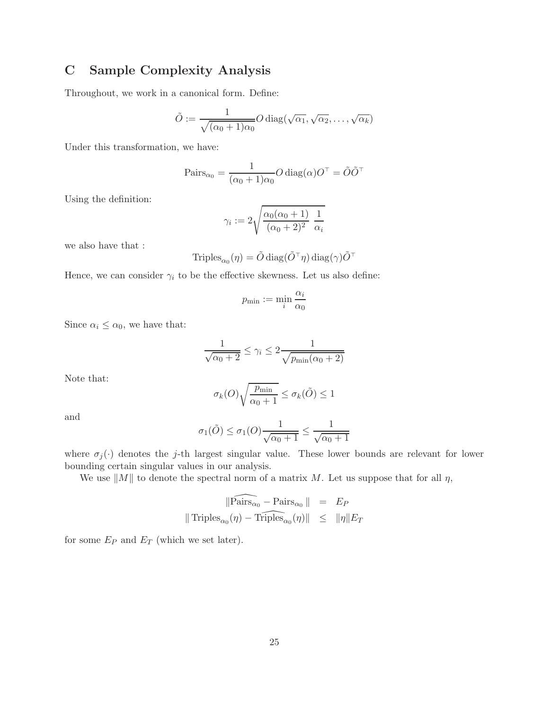# C Sample Complexity Analysis

Throughout, we work in a canonical form. Define:

$$
\tilde{O} := \frac{1}{\sqrt{(\alpha_0 + 1)\alpha_0}} O \operatorname{diag}(\sqrt{\alpha_1}, \sqrt{\alpha_2}, \dots, \sqrt{\alpha_k})
$$

Under this transformation, we have:

$$
\text{Pairs}_{\alpha_0} = \frac{1}{(\alpha_0 + 1)\alpha_0} O \operatorname{diag}(\alpha) O^\top = \tilde{O} \tilde{O}^\top
$$

Using the definition:

$$
\gamma_i := 2\sqrt{\frac{\alpha_0(\alpha_0+1)}{(\alpha_0+2)^2}} \frac{1}{\alpha_i}
$$

we also have that :

$$
\text{Triples}_{\alpha_0}(\eta) = \tilde{O} \operatorname{diag}(\tilde{O}^\top \eta) \operatorname{diag}(\gamma) \tilde{O}^\top
$$

Hence, we can consider  $\gamma_i$  to be the effective skewness. Let us also define:

$$
p_{\min} := \min_i \frac{\alpha_i}{\alpha_0}
$$

Since  $\alpha_i \leq \alpha_0$ , we have that:

$$
\frac{1}{\sqrt{\alpha_0 + 2}} \le \gamma_i \le 2 \frac{1}{\sqrt{p_{\min}(\alpha_0 + 2)}}
$$

Note that:

$$
\sigma_k(O)\sqrt{\frac{p_{\min}}{\alpha_0+1}}\leq \sigma_k(\tilde{O})\leq 1
$$

and

$$
\sigma_1(\tilde{O}) \le \sigma_1(O) \frac{1}{\sqrt{\alpha_0 + 1}} \le \frac{1}{\sqrt{\alpha_0 + 1}}
$$

where  $\sigma_j(\cdot)$  denotes the j-th largest singular value. These lower bounds are relevant for lower bounding certain singular values in our analysis.

We use  $||M||$  to denote the spectral norm of a matrix M. Let us suppose that for all  $\eta$ ,

$$
\|\widehat{\text{Pairs}_{\alpha_0}} - \text{Pairs}_{\alpha_0}\| = E_P
$$
  

$$
\|\text{Triples}_{\alpha_0}(\eta) - \widehat{\text{Triples}}_{\alpha_0}(\eta)\| \le \|\eta\| E_T
$$

for some  $E_P$  and  $E_T$  (which we set later).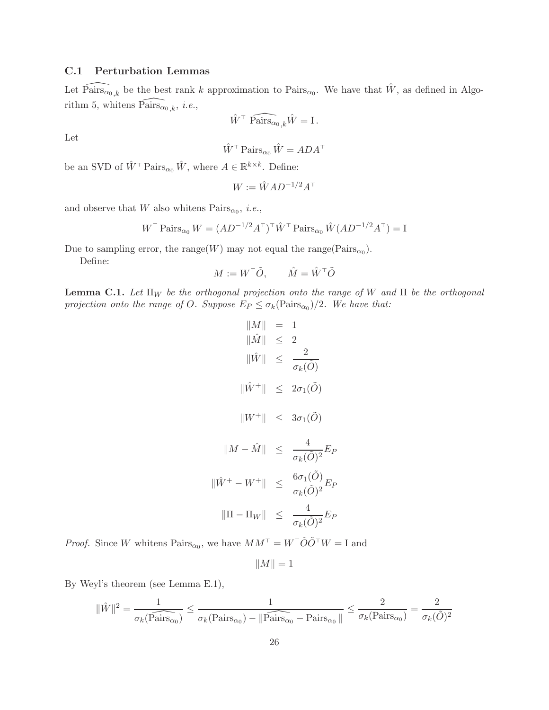## C.1 Perturbation Lemmas

Let  $\widehat{\text{Pairs}_{\alpha_0,k}}$  be the best rank k approximation to  $\text{Pairs}_{\alpha_0}$ . We have that  $\hat{W}$ , as defined in Algorithm 5, whitens  $\widehat{\text{Pairs}}_{\alpha_0, k}$ , *i.e.*,

$$
\hat{W}^{\top} \;\widehat{\text{Pairs}_{\alpha_{0},k}}\hat{W} = \text{I}\,.
$$

Let

$$
\hat{W}^{\top} \operatorname{Pairs}_{\alpha_0} \hat{W} = ADA^{\top}
$$

be an SVD of  $\hat{W}^{\top}$  Pairs<sub> $\alpha_0$ </sub>  $\hat{W}$ , where  $A \in \mathbb{R}^{k \times k}$ . Define:

$$
W := \hat{W} A D^{-1/2} A^{\top}
$$

and observe that W also whitens  $\text{Pairs}_{\alpha_0}, i.e.,$ 

$$
W^{\top} \operatorname{Pairs}_{\alpha_0} W = (AD^{-1/2}A^{\top})^{\top} \hat{W}^{\top} \operatorname{Pairs}_{\alpha_0} \hat{W} (AD^{-1/2}A^{\top}) = I
$$

Due to sampling error, the range(W) may not equal the range( $\text{Pairs}_{\alpha_0}$ ).

Define:

$$
M := W^{\top} \tilde{O}, \qquad \hat{M} = \hat{W}^{\top} \tilde{O}
$$

**Lemma C.1.** Let  $\Pi_W$  be the orthogonal projection onto the range of W and  $\Pi$  be the orthogonal *projection onto the range of O. Suppose*  $E_P \leq \sigma_k(\text{Pairs}_{\alpha_0})/2$ . We have that:

$$
\begin{aligned}\n\|M\| &= 1\\ \|\hat{M}\| &\leq 2\\ \|\hat{W}\| &\leq \frac{2}{\sigma_k(\tilde{O})}\\ \|\hat{W}^+\| &\leq 2\sigma_1(\tilde{O})\\ \|\hat{W}^+\| &\leq 3\sigma_1(\tilde{O})\\ \|\hat{M} - \hat{M}\| &\leq \frac{4}{\sigma_k(\tilde{O})^2}E_P\\ \|\hat{W}^+ - W^+\| &\leq \frac{6\sigma_1(\tilde{O})}{\sigma_k(\tilde{O})^2}E_P\\ \|\Pi - \Pi_W\| &\leq \frac{4}{\sigma_k(\tilde{O})^2}E_P\n\end{aligned}
$$

*Proof.* Since W whitens  $\text{Pairs}_{\alpha_0}$ , we have  $MM^{\top} = W^{\top} \tilde{O} \tilde{O}^{\top} W = I$  and

$$
||M||=1
$$

By Weyl's theorem (see Lemma E.1),

$$
\|\hat{W}\|^2 = \frac{1}{\sigma_k(\widehat{\mathrm{Pairs}_{\alpha_0}})} \le \frac{1}{\sigma_k(\mathrm{Pairs}_{\alpha_0}) - \|\widehat{\mathrm{Pairs}_{\alpha_0}} - \mathrm{Pairs}_{\alpha_0}\|} \le \frac{2}{\sigma_k(\mathrm{Pairs}_{\alpha_0})} = \frac{2}{\sigma_k(\tilde{O})^2}
$$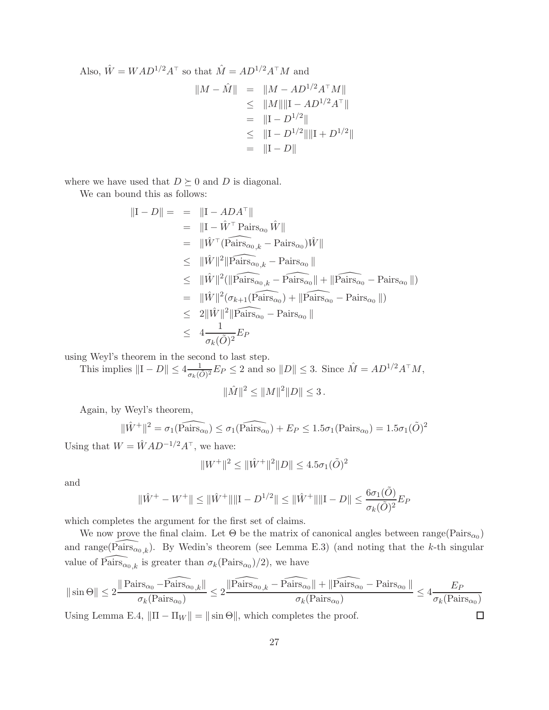Also, 
$$
\hat{W} = WAD^{1/2}A^{\top}
$$
 so that  $\hat{M} = AD^{1/2}A^{\top}M$  and  
\n
$$
||M - \hat{M}|| = ||M - AD^{1/2}A^{\top}M||
$$
\n
$$
\leq ||M|| ||I - AD^{1/2}A^{\top}||
$$
\n
$$
= ||I - D^{1/2}||
$$
\n
$$
\leq ||I - D^{1/2}|| ||I + D^{1/2}||
$$
\n
$$
= ||I - D||
$$

where we have used that  $D \succeq 0$  and D is diagonal.

We can bound this as follows:

$$
\|\mathbf{I} - D\| = \| \mathbf{I} - ADA^{\top} \|
$$
\n
$$
= \| \mathbf{I} - \hat{W}^{\top} \operatorname{Pairs}_{\alpha_0} \hat{W} \|
$$
\n
$$
= \| \hat{W}^{\top} (\operatorname{Pairs}_{\alpha_0, k} - \operatorname{Pairs}_{\alpha_0}) \hat{W} \|
$$
\n
$$
\leq \| \hat{W} \|^2 \| \operatorname{Pairs}_{\alpha_0, k} - \operatorname{Pairs}_{\alpha_0} \|
$$
\n
$$
\leq \| \hat{W} \|^2 (\|\operatorname{Pairs}_{\alpha_0, k} - \operatorname{Pairs}_{\alpha_0} \| + \|\operatorname{Pairs}_{\alpha_0} - \operatorname{Pairs}_{\alpha_0} \|)
$$
\n
$$
= \| \hat{W} \|^2 (\sigma_{k+1} (\operatorname{Pairs}_{\alpha_0}) + \|\operatorname{Pairs}_{\alpha_0} - \operatorname{Pairs}_{\alpha_0} \|)
$$
\n
$$
\leq 2 \| \hat{W} \|^2 \| \operatorname{Pairs}_{\alpha_0} - \operatorname{Pairs}_{\alpha_0} \|
$$
\n
$$
\leq 4 \frac{1}{\sigma_k(\tilde{O})^2} E_P
$$

using Weyl's theorem in the second to last step.

This implies  $||I - D|| \le 4 \frac{1}{\sigma_k(\tilde{O})^2} E_P \le 2$  and so  $||D|| \le 3$ . Since  $\hat{M} = AD^{1/2}A^{\top}M$ ,

$$
\|\hat{M}\|^2 \le \|M\|^2 \|D\| \le 3\,.
$$

Again, by Weyl's theorem,

$$
\|\hat{W}^+\|^2 = \sigma_1(\widehat{\text{Pairs}_{\alpha_0}}) \le \sigma_1(\widehat{\text{Pairs}_{\alpha_0}}) + E_P \le 1.5\sigma_1(\text{Pairs}_{\alpha_0}) = 1.5\sigma_1(\tilde{O})^2
$$

Using that  $W = \hat{W} A D^{-1/2} A^{\top}$ , we have:

$$
||W^+||^2 \le ||\hat{W}^+||^2 ||D|| \le 4.5\sigma_1(\tilde{O})^2
$$

and

$$
\|\hat{W}^+ - W^+\| \le \|\hat{W}^+\|\|\mathbf{I} - D^{1/2}\| \le \|\hat{W}^+\|\|\mathbf{I} - D\| \le \frac{6\sigma_1(\tilde{O})}{\sigma_k(\tilde{O})^2} E_P
$$

which completes the argument for the first set of claims.

We now prove the final claim. Let  $\Theta$  be the matrix of canonical angles between  $\text{range}(\text{Pairs}_{\alpha_0})$ and range( $\widehat{\text{Pairs}}_{\alpha_0,k}$ ). By Wedin's theorem (see Lemma E.3) (and noting that the k-th singular value of  $\widehat{\text{Pairs}_{\alpha_0,k}}$  is greater than  $\sigma_k(\text{Pairs}_{\alpha_0})/2$ , we have

$$
\|\sin\Theta\|\leq 2\frac{\|\mathit{Pairs}_{\alpha_0}-\widehat{\mathit{Pairs}_{\alpha_0}}_{k}\|}{\sigma_k(\mathit{Pairs}_{\alpha_0})}\leq 2\frac{\|\widehat{\mathit{Pairs}_{\alpha_0}}_{k}-\widehat{\mathit{Pairs}_{\alpha_0}}\|+\|\widehat{\mathit{Pairs}_{\alpha_0}}-\mathit{Pairs}_{\alpha_0}\|}{\sigma_k(\mathit{Pairs}_{\alpha_0})}\leq 4\frac{E_P}{\sigma_k(\mathit{Pairs}_{\alpha_0})}
$$

 $\Box$ 

Using Lemma E.4,  $\|\Pi - \Pi_W\| = \|\sin \Theta\|$ , which completes the proof.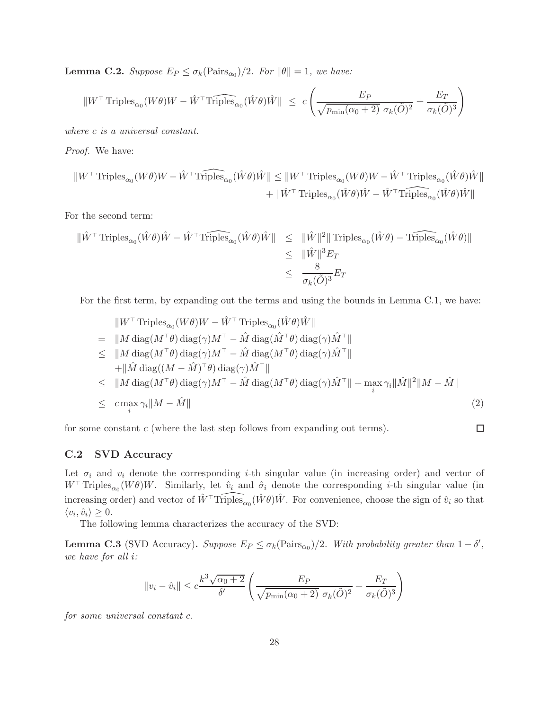**Lemma C.2.** *Suppose*  $E_P \leq \sigma_k(\text{Pairs}_{\alpha_0})/2$ *. For*  $\|\theta\| = 1$ *, we have:* 

$$
||W^{\top} \text{ Triples}_{\alpha_0}(W\theta)W - \hat{W}^{\top} \widehat{\text{Triples}_{\alpha_0}}(\hat{W}\theta)\hat{W}|| \leq c \left( \frac{E_P}{\sqrt{p_{\min}(\alpha_0 + 2)} \sigma_k(\tilde{O})^2} + \frac{E_T}{\sigma_k(\tilde{O})^3} \right)
$$

*where* c *is a universal constant.*

*Proof.* We have:

$$
\begin{aligned} \|W^\top \operatorname{Triples}_{\alpha_0}(W\theta)W-\hat W^\top \widehat{\operatorname{Triples}}_{\alpha_0}(\hat W\theta)\hat W\| &\leq \|W^\top \operatorname{Triples}_{\alpha_0}(W\theta)W-\hat W^\top \operatorname{Triples}_{\alpha_0}(\hat W\theta)\hat W\|\\ &\qquad + \|\hat W^\top \operatorname{Triples}_{\alpha_0}(\hat W\theta)\hat W-\hat W^\top \widehat{\operatorname{Triples}}_{\alpha_0}(\hat W\theta)\hat W\| \end{aligned}
$$

For the second term:

$$
\begin{aligned}\n\|\hat{W}^{\top}\text{Triples}_{\alpha_{0}}(\hat{W}\theta)\hat{W} - \hat{W}^{\top}\hat{\text{Triples}}_{\alpha_{0}}(\hat{W}\theta)\hat{W}\| &\leq \|\hat{W}\|^{2} \|\text{Triples}_{\alpha_{0}}(\hat{W}\theta) - \hat{\text{Triples}}_{\alpha_{0}}(\hat{W}\theta)\| \\
&\leq \|\hat{W}\|^{3} E_{T} \\
&\leq \frac{8}{\sigma_{k}(\tilde{O})^{3}} E_{T}\n\end{aligned}
$$

For the first term, by expanding out the terms and using the bounds in Lemma C.1, we have:

$$
||W^{\top} \text{Triples}_{\alpha_{0}}(W\theta)W - \hat{W}^{\top} \text{Triples}_{\alpha_{0}}(\hat{W}\theta)\hat{W}||
$$
\n
$$
= ||M \text{ diag}(M^{\top}\theta) \text{ diag}(\gamma)M^{\top} - \hat{M} \text{ diag}(\hat{M}^{\top}\theta) \text{ diag}(\gamma)\hat{M}^{\top}||
$$
\n
$$
\leq ||M \text{ diag}(M^{\top}\theta) \text{ diag}(\gamma)M^{\top} - \hat{M} \text{ diag}(M^{\top}\theta) \text{ diag}(\gamma)\hat{M}^{\top}||
$$
\n
$$
+ ||\hat{M} \text{ diag}((M - \hat{M})^{\top}\theta) \text{ diag}(\gamma)\hat{M}^{\top}||
$$
\n
$$
\leq ||M \text{ diag}(M^{\top}\theta) \text{ diag}(\gamma)M^{\top} - \hat{M} \text{ diag}(M^{\top}\theta) \text{ diag}(\gamma)\hat{M}^{\top}|| + \max_{i} \gamma_{i} ||\hat{M}||^{2}||M - \hat{M}||
$$
\n
$$
\leq c \max_{i} \gamma_{i} ||M - \hat{M}|| \qquad (2)
$$

for some constant  $c$  (where the last step follows from expanding out terms).

## $\Box$

### C.2 SVD Accuracy

Let  $\sigma_i$  and  $v_i$  denote the corresponding *i*-th singular value (in increasing order) and vector of W<sup>⊤</sup> Triples<sub>α0</sub> (W $\theta$ )W. Similarly, let  $\hat{v}_i$  and  $\hat{\sigma}_i$  denote the corresponding *i*-th singular value (in increasing order) and vector of  $\hat{W}^{\top} \widehat{\text{Triples}}_{\alpha_0}(\hat{W}\theta)\hat{W}$ . For convenience, choose the sign of  $\hat{v}_i$  so that  $\langle v_i, \hat{v}_i \rangle \geq 0.$ 

The following lemma characterizes the accuracy of the SVD:

**Lemma C.3** (SVD Accuracy). *Suppose*  $E_P \leq \sigma_k(\text{Pairs}_{\alpha_0})/2$ . With probability greater than  $1 - \delta'$ , *we have for all* i*:*

$$
||v_i - \hat{v}_i|| \leq c \frac{k^3 \sqrt{\alpha_0 + 2}}{\delta'} \left( \frac{E_P}{\sqrt{p_{\min}(\alpha_0 + 2)} \sigma_k(\tilde{O})^2} + \frac{E_T}{\sigma_k(\tilde{O})^3} \right)
$$

*for some universal constant* c*.*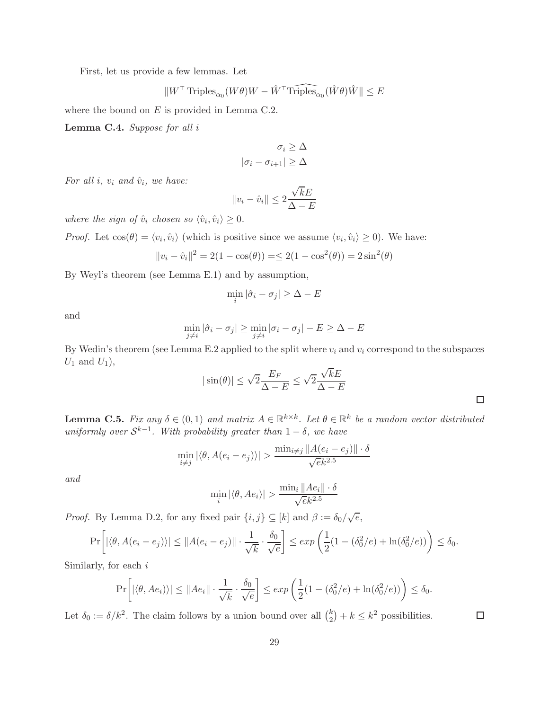First, let us provide a few lemmas. Let

$$
\| W^{\top} \operatorname{Triples}_{\alpha_0}(W\theta) W - \hat W^{\top} \widehat{\operatorname{Triples}}_{\alpha_0}(\hat W\theta) \hat W \| \leq E
$$

where the bound on  $E$  is provided in Lemma C.2.

Lemma C.4. *Suppose for all* i

$$
\sigma_i \geq \Delta
$$

$$
|\sigma_i - \sigma_{i+1}| \geq \Delta
$$

*For all i,*  $v_i$  *and*  $\hat{v}_i$ *, we have:* 

$$
||v_i - \hat{v}_i|| \le 2\frac{\sqrt{k}E}{\Delta - E}
$$

*where the sign of*  $\hat{v}_i$  *chosen so*  $\langle \hat{v}_i, \hat{v}_i \rangle \geq 0$ *.* 

*Proof.* Let  $cos(\theta) = \langle v_i, \hat{v}_i \rangle$  (which is positive since we assume  $\langle v_i, \hat{v}_i \rangle \ge 0$ ). We have:

$$
||v_i - \hat{v}_i||^2 = 2(1 - \cos(\theta)) = \le 2(1 - \cos^2(\theta)) = 2\sin^2(\theta)
$$

By Weyl's theorem (see Lemma E.1) and by assumption,

$$
\min_i |\hat{\sigma}_i - \sigma_j| \geq \Delta - E
$$

and

$$
\min_{j \neq i} |\hat{\sigma}_i - \sigma_j| \ge \min_{j \neq i} |\sigma_i - \sigma_j| - E \ge \Delta - E
$$

By Wedin's theorem (see Lemma E.2 applied to the split where  $v_i$  and  $v_i$  correspond to the subspaces  $U_1$  and  $U_1$ ),

$$
|\sin(\theta)| \le \sqrt{2} \frac{E_F}{\Delta - E} \le \sqrt{2} \frac{\sqrt{k}E}{\Delta - E}
$$

**Lemma C.5.** Fix any  $\delta \in (0,1)$  and matrix  $A \in \mathbb{R}^{k \times k}$ . Let  $\theta \in \mathbb{R}^k$  be a random vector distributed  $uniformly over S^{k-1}$ . With probability greater than  $1 - \delta$ , we have

$$
\min_{i \neq j} |\langle \theta, A(e_i - e_j) \rangle| > \frac{\min_{i \neq j} \|A(e_i - e_j)\| \cdot \delta}{\sqrt{e}k^{2.5}}
$$

*and*

$$
\min_{i} |\langle \theta, Ae_i \rangle| > \frac{\min_{i} \|Ae_i\| \cdot \delta}{\sqrt{ek^{2.5}}}
$$

*Proof.* By Lemma D.2, for any fixed pair  $\{i, j\} \subseteq [k]$  and  $\beta := \delta_0/\sqrt{e}$ ,

$$
\Pr\bigg[|\langle\theta,A(e_i-e_j)\rangle| \leq \|A(e_i-e_j)\|\cdot\frac{1}{\sqrt{k}}\cdot\frac{\delta_0}{\sqrt{e}}\bigg] \leq \exp\bigg(\frac{1}{2}(1-(\delta_0^2/e)+\ln(\delta_0^2/e))\bigg) \leq \delta_0.
$$

Similarly, for each i

$$
\Pr\bigg[ |\langle \theta, Ae_i \rangle \rangle| \leq ||Ae_i|| \cdot \frac{1}{\sqrt{k}} \cdot \frac{\delta_0}{\sqrt{e}} \bigg] \leq exp\left( \frac{1}{2} (1 - (\delta_0^2/e) + \ln(\delta_0^2/e)) \right) \leq \delta_0.
$$

Let  $\delta_0 := \delta/k^2$ . The claim follows by a union bound over all  $\binom{k}{2}$  $k<sub>2</sub>$  +  $k \leq k<sup>2</sup>$  possibilities.  $\Box$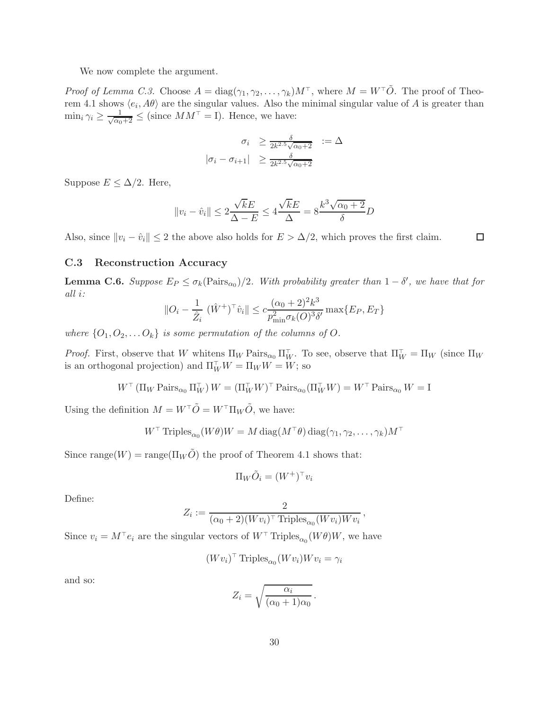We now complete the argument.

*Proof of Lemma C.3.* Choose  $A = diag(\gamma_1, \gamma_2, \dots, \gamma_k)M^{\top}$ , where  $M = W^{\top} \tilde{O}$ . The proof of Theorem 4.1 shows  $\langle e_i, A\theta \rangle$  are the singular values. Also the minimal singular value of A is greater than  $\min_i \gamma_i \geq \frac{1}{\sqrt{\alpha_0+2}} \leq$  (since  $MM^{\top} = I$ ). Hence, we have:

$$
\sigma_i \geq \frac{\delta}{2k^{2.5}\sqrt{\alpha_0+2}} := \Delta
$$

$$
|\sigma_i - \sigma_{i+1}| \geq \frac{\delta}{2k^{2.5}\sqrt{\alpha_0+2}}
$$

Suppose  $E \leq \Delta/2$ . Here,

$$
||v_i - \hat{v}_i|| \le 2\frac{\sqrt{k}E}{\Delta - E} \le 4\frac{\sqrt{k}E}{\Delta} = 8\frac{k^3\sqrt{\alpha_0 + 2}}{\delta}D
$$

Also, since  $||v_i - \hat{v}_i|| \leq 2$  the above also holds for  $E > \Delta/2$ , which proves the first claim.

#### C.3 Reconstruction Accuracy

**Lemma C.6.** Suppose  $E_P \leq \sigma_k(\text{Pairs}_{\alpha_0})/2$ . With probability greater than  $1 - \delta'$ , we have that for *all* i*:*

$$
||O_i - \frac{1}{\hat{Z}_i} (\hat{W}^+)^{\top} \hat{v}_i|| \leq c \frac{(\alpha_0 + 2)^2 k^3}{p_{\min}^2 \sigma_k(O)^3 \delta'} \max\{E_P, E_T\}
$$

*where*  $\{O_1, O_2, \ldots O_k\}$  *is some permutation of the columns of* O.

*Proof.* First, observe that W whitens  $\Pi_W$  Pairs<sub>α0</sub>  $\Pi_W^{\top}$ . To see, observe that  $\Pi_W^{\top} = \Pi_W$  (since  $\Pi_W$ is an orthogonal projection) and  $\Pi_W^{\top} W = \Pi_W W = W$ ; so

$$
W^{\top}(\Pi_W\operatorname{Pairs}_{\alpha_0}\Pi_W^{\top})W = (\Pi_W^{\top}W)^{\top}\operatorname{Pairs}_{\alpha_0}(\Pi_W^{\top}W) = W^{\top}\operatorname{Pairs}_{\alpha_0}W = \operatorname{I}
$$

Using the definition  $M = W^\top \tilde{O} = W^\top \Pi_W \tilde{O},$  we have:

$$
W^{\top} \operatorname{Triples}_{\alpha_0}(W\theta)W = M \operatorname{diag}(M^{\top}\theta) \operatorname{diag}(\gamma_1, \gamma_2, \dots, \gamma_k)M^{\top}
$$

Since range( $W$ ) = range( $\Pi_W \tilde{O}$ ) the proof of Theorem 4.1 shows that:

$$
\Pi_W \tilde{O}_i = (W^+)^{\top} v_i
$$

Define:

$$
Z_i := \frac{2}{(\alpha_0 + 2)(Wv_i)^\top \text{Triples}_{\alpha_0}(Wv_i)Wv_i}
$$

,

 $\Box$ 

Since  $v_i = M^{\top} e_i$  are the singular vectors of  $W^{\top}$  Triples<sub> $\alpha_0(W\theta)W$ </sub>, we have

$$
(Wv_i)^{\top} \text{ Triples}_{\alpha_0}(Wv_i)Wv_i = \gamma_i
$$

and so:

$$
Z_i = \sqrt{\frac{\alpha_i}{(\alpha_0 + 1)\alpha_0}}.
$$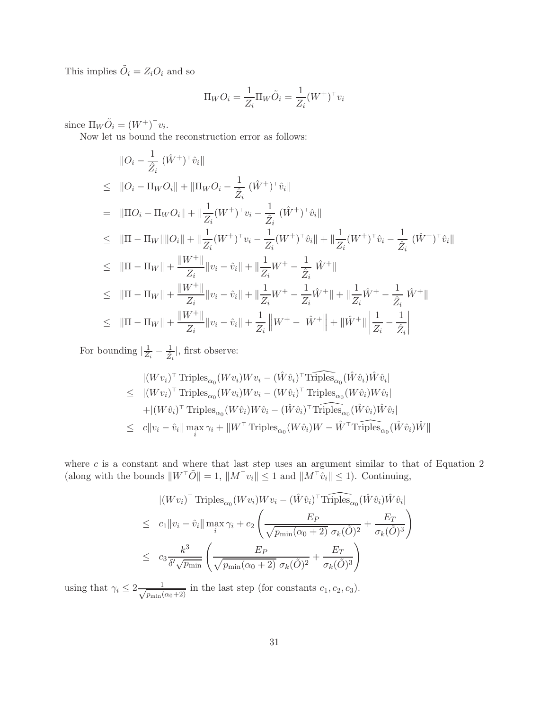This implies  $\tilde{O}_i = Z_i O_i$  and so

$$
\Pi_W O_i = \frac{1}{Z_i} \Pi_W \tilde{O}_i = \frac{1}{Z_i} (W^+)^{\top} v_i
$$

since  $\Pi_W \tilde{O}_i = (W^+)^{\top} v_i$ .

Now let us bound the reconstruction error as follows:

$$
\|O_{i} - \frac{1}{\hat{Z}_{i}} (\hat{W}^{+})^{\top} \hat{v}_{i}\|
$$
\n
$$
\leq \|O_{i} - \Pi_{W} O_{i}\| + \|\Pi_{W} O_{i} - \frac{1}{\hat{Z}_{i}} (\hat{W}^{+})^{\top} \hat{v}_{i}\|
$$
\n
$$
= \| \Pi O_{i} - \Pi_{W} O_{i} \| + \| \frac{1}{Z_{i}} (W^{+})^{\top} v_{i} - \frac{1}{\hat{Z}_{i}} (\hat{W}^{+})^{\top} \hat{v}_{i} \|
$$
\n
$$
\leq \| \Pi - \Pi_{W} \| \| O_{i} \| + \| \frac{1}{Z_{i}} (W^{+})^{\top} v_{i} - \frac{1}{Z_{i}} (W^{+})^{\top} \hat{v}_{i} \| + \| \frac{1}{Z_{i}} (W^{+})^{\top} \hat{v}_{i} - \frac{1}{\hat{Z}_{i}} (\hat{W}^{+})^{\top} \hat{v}_{i} \|
$$
\n
$$
\leq \| \Pi - \Pi_{W} \| + \frac{\| W^{+} \|}{Z_{i}} \| v_{i} - \hat{v}_{i} \| + \| \frac{1}{Z_{i}} W^{+} - \frac{1}{\hat{Z}_{i}} \hat{W}^{+} \|
$$
\n
$$
\leq \| \Pi - \Pi_{W} \| + \frac{\| W^{+} \|}{Z_{i}} \| v_{i} - \hat{v}_{i} \| + \| \frac{1}{Z_{i}} W^{+} - \frac{1}{Z_{i}} \hat{W}^{+} \| + \| \frac{1}{Z_{i}} \hat{W}^{+} - \frac{1}{\hat{Z}_{i}} \hat{W}^{+} \|
$$
\n
$$
\leq \| \Pi - \Pi_{W} \| + \frac{\| W^{+} \|}{Z_{i}} \| v_{i} - \hat{v}_{i} \| + \frac{1}{Z_{i}} \| W^{+} - \hat{W}^{+} \| + \| \hat{W}^{+} \| \frac{1}{Z_{i}} - \frac{1}{\hat{Z}_{i}} \right|
$$

For bounding  $\left|\frac{1}{Z}\right|$  $\frac{1}{Z_i} - \frac{1}{\hat{Z}_i}$ , first observe:

$$
\begin{aligned}\n &\left| (Wv_i)^\top \text{Triples}_{\alpha_0} (Wv_i) W v_i - (\hat{W} \hat{v}_i)^\top \widehat{\text{Triples}}_{\alpha_0} (\hat{W} \hat{v}_i) \hat{W} \hat{v}_i \right| \\
 &\leq \quad &\left| (Wv_i)^\top \text{Triples}_{\alpha_0} (Wv_i) W v_i - (W \hat{v}_i)^\top \text{Triples}_{\alpha_0} (W \hat{v}_i) W \hat{v}_i \right| \\
 &\quad + \left| (W \hat{v}_i)^\top \text{Triples}_{\alpha_0} (W \hat{v}_i) W \hat{v}_i - (\hat{W} \hat{v}_i)^\top \text{Triples}_{\alpha_0} (\hat{W} \hat{v}_i) \hat{W} \hat{v}_i \right| \\
 &\leq \quad &c \|v_i - \hat{v}_i\| \max_i \gamma_i + \|W^\top \text{Triples}_{\alpha_0} (W \hat{v}_i) W - \hat{W}^\top \text{Triples}_{\alpha_0} (\hat{W} \hat{v}_i) \hat{W} \| \\
\end{aligned}
$$

where  $c$  is a constant and where that last step uses an argument similar to that of Equation 2 (along with the bounds  $||W^{\top}\tilde{O}|| = 1$ ,  $||M^{\top}v_i|| \leq 1$  and  $||M^{\top}\tilde{v}_i|| \leq 1$ ). Continuing,

$$
|(Wv_i)^{\top} \text{Triples}_{\alpha_0}(Wv_i)Wv_i - (\hat{W}\hat{v}_i)^{\top} \text{Triples}_{\alpha_0}(\hat{W}\hat{v}_i)\hat{W}\hat{v}_i|
$$
  
\n
$$
\leq c_1 ||v_i - \hat{v}_i|| \max_i \gamma_i + c_2 \left(\frac{E_P}{\sqrt{p_{\min}(\alpha_0 + 2)} \sigma_k(\tilde{O})^2} + \frac{E_T}{\sigma_k(\tilde{O})^3}\right)
$$
  
\n
$$
\leq c_3 \frac{k^3}{\delta' \sqrt{p_{\min}}} \left(\frac{E_P}{\sqrt{p_{\min}(\alpha_0 + 2)} \sigma_k(\tilde{O})^2} + \frac{E_T}{\sigma_k(\tilde{O})^3}\right)
$$

using that  $\gamma_i \leq 2 \frac{1}{\sqrt{p_{\min}(n)}}$  $\frac{1}{p_{\min}(\alpha_0+2)}$  in the last step (for constants  $c_1, c_2, c_3$ ).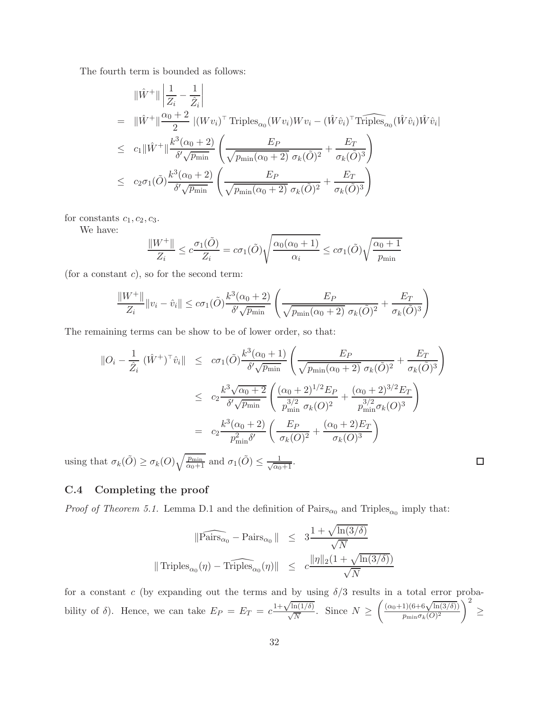The fourth term is bounded as follows:

$$
\|\hat{W}^{+}\| \left| \frac{1}{Z_i} - \frac{1}{\hat{Z}_i} \right|
$$
\n
$$
= \|\hat{W}^{+}\| \frac{\alpha_0 + 2}{2} |(Wv_i)^{\top} \text{Triples}_{\alpha_0}(Wv_i)Wv_i - (\hat{W}\hat{v}_i)^{\top} \text{Triples}_{\alpha_0}(\hat{W}\hat{v}_i)\hat{W}\hat{v}_i|
$$
\n
$$
\leq c_1 \|\hat{W}^{+}\| \frac{k^3(\alpha_0 + 2)}{\delta'\sqrt{p_{\min}}} \left( \frac{E_P}{\sqrt{p_{\min}(\alpha_0 + 2)} \sigma_k(\tilde{O})^2} + \frac{E_T}{\sigma_k(\tilde{O})^3} \right)
$$
\n
$$
\leq c_2 \sigma_1(\tilde{O}) \frac{k^3(\alpha_0 + 2)}{\delta'\sqrt{p_{\min}}} \left( \frac{E_P}{\sqrt{p_{\min}(\alpha_0 + 2)} \sigma_k(\tilde{O})^2} + \frac{E_T}{\sigma_k(\tilde{O})^3} \right)
$$

for constants  $c_1, c_2, c_3$ .

We have:

$$
\frac{\|W^+\|}{Z_i} \le c \frac{\sigma_1(\tilde{O})}{Z_i} = c\sigma_1(\tilde{O})\sqrt{\frac{\alpha_0(\alpha_0+1)}{\alpha_i}} \le c\sigma_1(\tilde{O})\sqrt{\frac{\alpha_0+1}{p_{\min}}}
$$

(for a constant  $c$ ), so for the second term:

$$
\frac{\|W^+\|}{Z_i} \|v_i - \hat{v}_i\| \le c\sigma_1(\tilde{O}) \frac{k^3(\alpha_0 + 2)}{\delta' \sqrt{p_{\min}}} \left( \frac{E_P}{\sqrt{p_{\min}(\alpha_0 + 2)} \sigma_k(\tilde{O})^2} + \frac{E_T}{\sigma_k(\tilde{O})^3} \right)
$$

The remaining terms can be show to be of lower order, so that:

$$
\begin{array}{rcl}\n\left\|O_{i} - \frac{1}{\hat{Z}_{i}} \left(\hat{W}^{+}\right)^{\top} \hat{v}_{i}\right\| & \leq & c\sigma_{1}(\tilde{O}) \frac{k^{3}(\alpha_{0}+1)}{\delta'\sqrt{p_{\min}}}\left(\frac{E_{P}}{\sqrt{p_{\min}(\alpha_{0}+2)} \sigma_{k}(\tilde{O})^{2}} + \frac{E_{T}}{\sigma_{k}(\tilde{O})^{3}}\right) \\
\\ & \leq & c_{2} \frac{k^{3} \sqrt{\alpha_{0}+2}}{\delta'\sqrt{p_{\min}}}\left(\frac{(\alpha_{0}+2)^{1/2}E_{P}}{p_{\min}^{3/2} \sigma_{k}(O)^{2}} + \frac{(\alpha_{0}+2)^{3/2}E_{T}}{p_{\min}^{3/2} \sigma_{k}(O)^{3}}\right) \\
\\ & = & c_{2} \frac{k^{3}(\alpha_{0}+2)}{p_{\min}^{2} \delta'}\left(\frac{E_{P}}{\sigma_{k}(O)^{2}} + \frac{(\alpha_{0}+2)E_{T}}{\sigma_{k}(O)^{3}}\right)\n\end{array}
$$

 $\Box$ 

using that  $\sigma_k(\tilde{O}) \ge \sigma_k(O) \sqrt{\frac{p_{\min}}{\alpha_0+1}}$  and  $\sigma_1(\tilde{O}) \le \frac{1}{\sqrt{\alpha_0+1}}$ .

### C.4 Completing the proof

*Proof of Theorem 5.1.* Lemma D.1 and the definition of  $\text{Pairs}_{\alpha_0}$  and  $\text{Triples}_{\alpha_0}$  imply that:

$$
\|\widehat{\text{Pairs}_{\alpha_0}} - \text{Pairs}_{\alpha_0}\| \leq 3\frac{1 + \sqrt{\ln(3/\delta)}}{\sqrt{N}}
$$
  

$$
\|\text{Triples}_{\alpha_0}(\eta) - \widehat{\text{Triples}}_{\alpha_0}(\eta)\| \leq c\frac{\|\eta\|_2(1 + \sqrt{\ln(3/\delta)})}{\sqrt{N}}
$$

for a constant c (by expanding out the terms and by using  $\delta/3$  results in a total error probability of  $\delta$ ). Hence, we can take  $E_P = E_T = c$  $\frac{1+\sqrt{\ln(1/\delta)}}{\sqrt{N}}$ . Since  $N \geq$  $\int (\alpha_0+1)(6+6\sqrt{\ln(3/\delta)})$  $p_{\min} \sigma_k(O)^2$  $\setminus^2$ ≥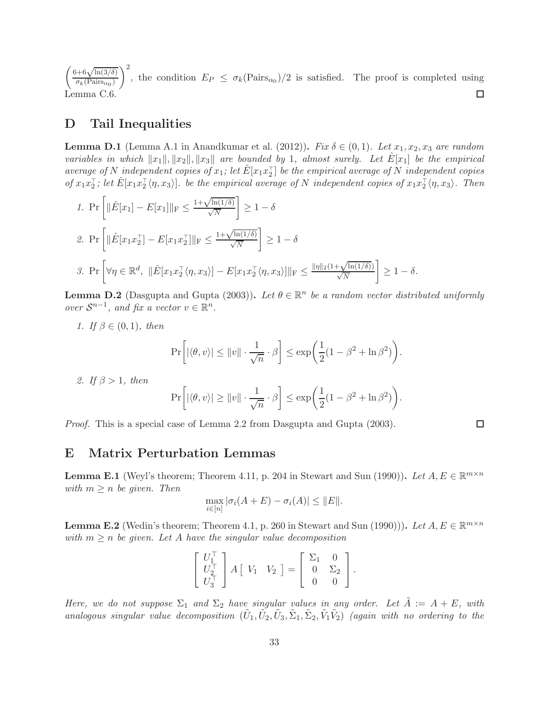$\int 6+6\sqrt{\ln(3/\delta)}$  $\setminus^2$ , the condition  $E_P \leq \sigma_k(\text{Pairs}_{\alpha_0})/2$  is satisfied. The proof is completed using  $\sigma_k(\text{Pairs}_{\alpha_0})$  $\Box$ Lemma C.6.

## D Tail Inequalities

**Lemma D.1** (Lemma A.1 in Anandkumar et al. (2012)). *Fix*  $\delta \in (0,1)$ . Let  $x_1, x_2, x_3$  are random *variables in which*  $||x_1||, ||x_2||, ||x_3||$  *are bounded by* 1*, almost surely. Let*  $E[x_1]$  *be the empirical*  $\alpha$  *average of*  $N$  *independent copies of*  $x_1$ ; let  $\hat{E}[x_1x_2]$  be the empirical average of  $N$  *independent copies*  $\partial f x_1 x_2^{\dagger}$ ; let  $\hat{E}[x_1 x_2^{\dagger} \langle \eta, x_3 \rangle]$ *.* be the empirical average of N independent copies of  $x_1 x_2^{\dagger} \langle \eta, x_3 \rangle$ *. Then* 

1. 
$$
\Pr\left[\|\hat{E}[x_1] - E[x_1]\|_{\mathrm{F}} \le \frac{1 + \sqrt{\ln(1/\delta)}}{\sqrt{N}}\right] \ge 1 - \delta
$$
  
2. 
$$
\Pr\left[\|\hat{E}[x_1 x_2^{\top}] - E[x_1 x_2^{\top}]\|_{\mathrm{F}} \le \frac{1 + \sqrt{\ln(1/\delta)}}{\sqrt{N}}\right] \ge 1 - \delta
$$
  
3. 
$$
\Pr\left[\forall \eta \in \mathbb{R}^d, \|\hat{E}[x_1 x_2^{\top} \langle \eta, x_3 \rangle] - E[x_1 x_2^{\top} \langle \eta, x_3 \rangle] \|_{\mathrm{F}} \le \frac{\|\eta\|_2 (1 + \sqrt{\ln(1/\delta)})}{\sqrt{N}}\right] \ge 1 - \delta.
$$

**Lemma D.2** (Dasgupta and Gupta (2003)). Let  $\theta \in \mathbb{R}^n$  be a random vector distributed uniformly *over*  $S^{n-1}$ *, and fix a vector*  $v \in \mathbb{R}^n$ *.* 

*1. If* β ∈ (0, 1)*, then*

$$
\Pr\bigg[ |\langle \theta, v \rangle| \le ||v|| \cdot \frac{1}{\sqrt{n}} \cdot \beta \bigg] \le \exp\bigg( \frac{1}{2} (1 - \beta^2 + \ln \beta^2) \bigg).
$$

*2. If* β > 1*, then*

$$
\Pr\bigg[ |\langle \theta, v \rangle| \ge ||v|| \cdot \frac{1}{\sqrt{n}} \cdot \beta \bigg] \le \exp\bigg( \frac{1}{2} (1 - \beta^2 + \ln \beta^2) \bigg).
$$

*Proof.* This is a special case of Lemma 2.2 from Dasgupta and Gupta (2003).

## E Matrix Perturbation Lemmas

**Lemma E.1** (Weyl's theorem; Theorem 4.11, p. 204 in Stewart and Sun (1990)). Let  $A, E \in \mathbb{R}^{m \times n}$ *with*  $m \geq n$  *be given. Then* 

$$
\max_{i\in[n]} |\sigma_i(A+E) - \sigma_i(A)| \leq ||E||.
$$

**Lemma E.2** (Wedin's theorem; Theorem 4.1, p. 260 in Stewart and Sun (1990))). *Let*  $A, E \in \mathbb{R}^{m \times n}$ *with*  $m \geq n$  *be given. Let* A *have the singular value decomposition* 

$$
\begin{bmatrix} U_1^{\top} \\ U_2^{\top} \\ U_3^{\top} \end{bmatrix} A \begin{bmatrix} V_1 & V_2 \end{bmatrix} = \begin{bmatrix} \Sigma_1 & 0 \\ 0 & \Sigma_2 \\ 0 & 0 \end{bmatrix}.
$$

*Here, we do not suppose*  $\Sigma_1$  *and*  $\Sigma_2$  *have singular values in any order. Let*  $\tilde{A} := A + E$ *, with analogous singular value decomposition*  $(\tilde{U}_1, \tilde{U}_2, \tilde{U}_3, \tilde{\Sigma}_1, \tilde{\Sigma}_2, \tilde{V}_1 \tilde{V}_2)$  *(again with no ordering to the* 

 $\Box$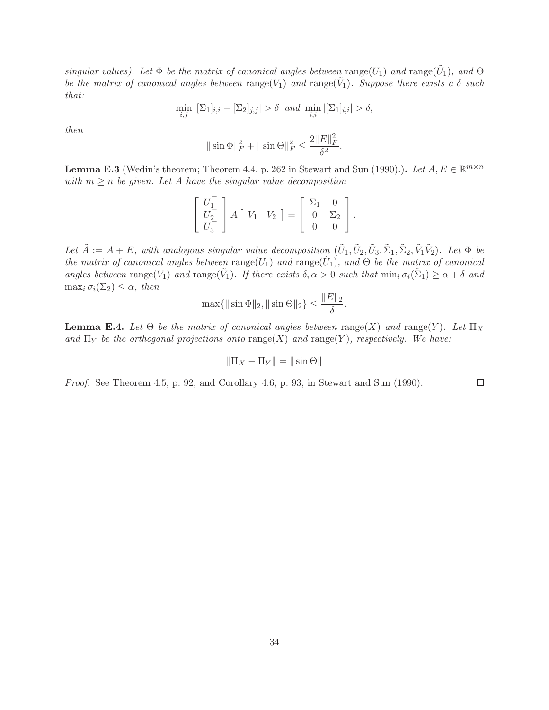*singular values). Let*  $\Phi$  *be the matrix of canonical angles between* range( $U_1$ ) *and* range( $\tilde{U}_1$ )*, and*  $\Theta$ *be the matrix of canonical angles between*  $\text{range}(V_1)$  *and*  $\text{range}(\tilde{V}_1)$ *. Suppose there exists a*  $\delta$  *such that:*

$$
\min_{i,j} |[\Sigma_1]_{i,i} - [\Sigma_2]_{j,j}| > \delta \text{ and } \min_{i,i} |[\Sigma_1]_{i,i}| > \delta,
$$

*then*

$$
\|\sin \Phi\|_F^2 + \|\sin \Theta\|_F^2 \le \frac{2\|E\|_F^2}{\delta^2}.
$$

**Lemma E.3** (Wedin's theorem; Theorem 4.4, p. 262 in Stewart and Sun (1990).). *Let*  $A, E \in \mathbb{R}^{m \times n}$ *with*  $m \geq n$  *be given. Let* A *have the singular value decomposition* 

$$
\begin{bmatrix} U_1^{\top} \\ U_2^{\top} \\ U_3^{\top} \end{bmatrix} A \begin{bmatrix} V_1 & V_2 \end{bmatrix} = \begin{bmatrix} \Sigma_1 & 0 \\ 0 & \Sigma_2 \\ 0 & 0 \end{bmatrix}.
$$

Let  $\tilde{A} := A + E$ , with analogous singular value decomposition  $(\tilde{U}_1, \tilde{U}_2, \tilde{U}_3, \tilde{\Sigma}_1, \tilde{\Sigma}_2, \tilde{V}_1 \tilde{V}_2)$ . Let  $\Phi$  be *the matrix of canonical angles between*  $\text{range}(U_1)$  *and*  $\text{range}(\tilde{U}_1)$ *, and*  $\Theta$  *be the matrix of canonical angles between*  $\text{range}(V_1)$  *and*  $\text{range}(\tilde{V}_1)$ *. If there exists*  $\delta, \alpha > 0$  *such that*  $\min_i \sigma_i(\tilde{\Sigma}_1) \ge \alpha + \delta$  *and* max<sub>i</sub>  $\sigma_i(\Sigma_2) \leq \alpha$ , then

$$
\max\{\|\sin \Phi\|_2, \|\sin \Theta\|_2\} \le \frac{\|E\|_2}{\delta}.
$$

**Lemma E.4.** Let  $\Theta$  be the matrix of canonical angles between range(X) and range(Y). Let  $\Pi_X$ and  $\Pi_Y$  be the orthogonal projections onto range(X) and range(Y), respectively. We have:

$$
\|\Pi_X - \Pi_Y\| = \|\sin \Theta\|
$$

*Proof.* See Theorem 4.5, p. 92, and Corollary 4.6, p. 93, in Stewart and Sun (1990).

 $\Box$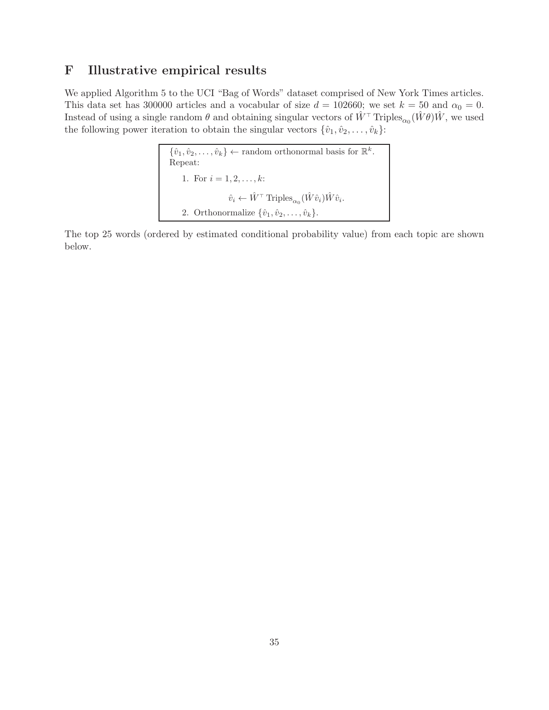# F Illustrative empirical results

We applied Algorithm 5 to the UCI "Bag of Words" dataset comprised of New York Times articles. This data set has 300000 articles and a vocabular of size  $d = 102660$ ; we set  $k = 50$  and  $\alpha_0 = 0$ . Instead of using a single random  $\theta$  and obtaining singular vectors of  $\hat{W}$ <sup>⊤</sup> Triples<sub>α0</sub> ( $\hat{W}\theta$ ) $\hat{W}$ , we used the following power iteration to obtain the singular vectors  $\{\hat{v}_1, \hat{v}_2, \dots, \hat{v}_k\}$ :

$$
\{\hat{v}_1, \hat{v}_2, \dots, \hat{v}_k\} \leftarrow \text{random orthonormal basis for } \mathbb{R}^k.
$$
  
Repeat:  
1. For  $i = 1, 2, \dots, k$ :  

$$
\hat{v}_i \leftarrow \hat{W}^\top \text{Triples}_{\alpha_0}(\hat{W}\hat{v}_i)\hat{W}\hat{v}_i.
$$
  
2. Orthonormalize  $\{\hat{v}_1, \hat{v}_2, \dots, \hat{v}_k\}.$ 

The top 25 words (ordered by estimated conditional probability value) from each topic are shown below.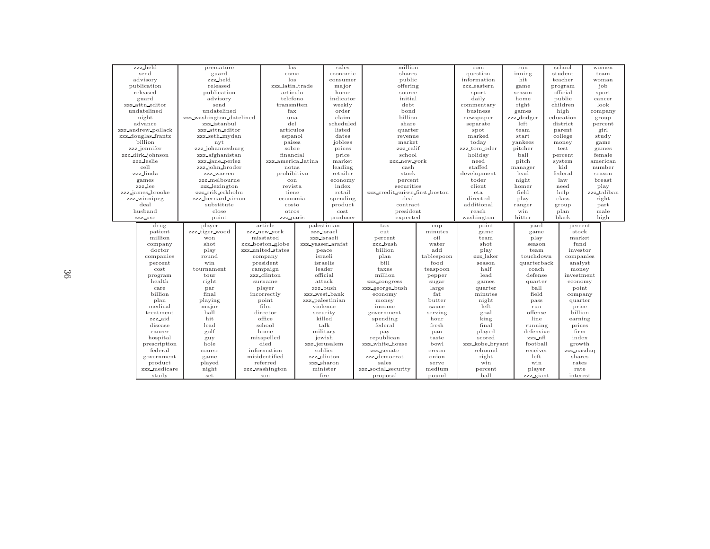| zzz_held              | premature                |                       | las                |                   | million<br>sales                |                 | com                    |                     | school           | women       |
|-----------------------|--------------------------|-----------------------|--------------------|-------------------|---------------------------------|-----------------|------------------------|---------------------|------------------|-------------|
| send                  | guard                    |                       | como               |                   | economic<br>shares              |                 | question               | inning              | student          | team        |
| advisory              | zzz_held                 |                       | $\log$             |                   | public<br>consumer              |                 | information            | hit                 | teacher          | woman       |
| publication           | released                 |                       | zzz_latin_trade    |                   | offering                        |                 | zzz_eastern            | game                | program          | job         |
| released              | publication              |                       | articulo           |                   | source                          |                 | sport                  | season              | official         | sport       |
| guard                 | advisory                 |                       | telefono           |                   | indicator<br>initial            |                 | daily                  | home                | public           | cancer      |
| zzz_attn_editor       | send                     |                       | transmiten         |                   | debt                            |                 | commentary             | right               | children         | look        |
| undatelined           | undatelined              | fax                   |                    | order             | bond                            |                 | business               | games               | high             | company     |
| night                 | zzz_washington_datelined | una                   |                    | claim             | billion                         |                 | newspaper              | zzz_dodger          | education        | group       |
| advance               | zzz_istanbul             | del                   |                    | scheduled         | share                           |                 | separate               | left                | district         | percent     |
| zzz_andrew_pollack    | zzz_attn_editor          | articulos             |                    | listed            | quarter                         |                 | spot                   | team                | parent           | girl        |
| zzz_douglas_frantz    | zzz_seth_mydan           | espanol               |                    | dates             | revenue                         |                 | marked                 | start               | college          | study       |
| billion               | nyt                      | paises                |                    | jobless           | market                          |                 | today                  | yankees             | money            | game        |
| zzz_jennifer          | zzz_johannesburg         | sobre                 |                    | prices            | zzz_calif                       |                 | zzz_tom_oder           | pitcher             | test             | games       |
| zzz_dirk_johnson      | zzz_afghanistan          |                       | financial          |                   | school                          |                 | holiday                | ball                | percent          | female      |
| zzz_leslie            | zzz jane perlez          |                       | zzz_america_latina |                   | zzz_new_york                    |                 | need                   | pitch               | system           | american    |
| cell                  | zzz_john_broder          | notas                 |                    | market<br>leading | cash                            |                 | staffed                | manager             | kid              | number      |
| zzz_linda             | zzz_warren               | prohibitivo           |                    | retailer          | stock                           |                 | development            | lead                | federal          | season      |
| games                 | zzz_melbourne            | con                   |                    | economy           | percent                         |                 | toder                  | night               | law              | breast      |
| zzz_lee               | zzz_lexington            | revista               |                    | index             | securities                      |                 | client                 | homer               | need             | play        |
| zzz_james_brooke      | zzz_erik_eckholm         | tiene                 |                    | retail            | zzz_credit_suisse_first_boston  |                 | eta                    | field               | help             | zzz_taliban |
| zzz_winnipeg          | zzz_bernard_simon        |                       | economia           |                   | spending                        | deal            |                        | play                | class            | right       |
| deal                  | substitute               |                       | costo              |                   | product<br>contract             |                 | directed<br>additional | ranger              | group            | part        |
| husband               | close                    |                       | otros              |                   | president                       |                 | reach                  | win                 | plan             | male        |
| point<br>zzz_usc      |                          |                       | cost<br>producer   |                   | expected                        |                 |                        |                     | black            | high        |
|                       |                          |                       |                    |                   |                                 |                 |                        |                     |                  |             |
|                       |                          |                       | zzz_paris          |                   |                                 |                 | washington             | hitter              |                  |             |
| drug                  | player                   | article               |                    | palestinian       | tax                             | cup             | point                  | yard                | percent          |             |
| patient               | zzz tiger wood           | zzz_new_york          |                    | zzz_israel        | cut                             | minutes         | game                   | game                | stock            |             |
| million               | won                      | misstated             |                    | zzz_israeli       | percent                         | oil             | team                   | play                | market           |             |
| company               | shot                     | zzz_boston_globe      |                    | zzz_vasser_arafat | zzz_bush                        | water           | shot                   | season              | fund             |             |
| doctor                | play                     | zzz_united_states     |                    | peace             | billion                         | add             | play                   | team                | investor         |             |
| companies             | round                    | company               |                    | israeli           | plan                            | tablespoon      | zzz_laker              | touchdown           | companies        |             |
| percent               | win                      | president             |                    | israelis          | bill                            | food            | season                 | quarterback         | analyst          |             |
| cost                  | tournament               | campaign              |                    | leader            | taxes                           | teaspoon        | half                   | coach               | money            |             |
| program               | tour                     | zzz_clinton           |                    | official          | million                         | pepper          | lead                   | defense             | investment       |             |
| health                | right                    | surname               |                    | attack            | zzz_congress                    | sugar           | games                  | quarter             | economy          |             |
| care                  | par                      | player                |                    | zzz_bush          | zzz_george_bush                 | large           | quarter                | ball                | point            |             |
| billion               | final                    | incorrectly           |                    | zzz_west_bank     | economy                         | fat             | minutes                | field               | company          |             |
| plan                  | playing                  | point                 |                    | zzz_palestinian   | money                           | butter          | night                  | pass                | quarter          |             |
| medical               | major                    | film                  |                    | violence          | income                          | sauce           | left                   | run                 | price            |             |
| treatment             | ball                     | director              |                    | security          | government                      | serving         | goal                   | offense             | billion          |             |
| zzz_aid               | hit                      | office                |                    | killed            | spending                        | hour            | king                   | line                | earning          |             |
| disease               | lead                     | school                |                    | talk              | federal                         | fresh           | final                  | running             | prices           |             |
| cancer                | golf                     | home                  |                    | military          | pay                             | pan             | played                 | defensive           | firm             |             |
| hospital              | guy                      | misspelled            |                    | iewish            | republican                      | taste           | scored                 | zzz_nfl             | index            |             |
| prescription          | hole                     | died                  |                    | zzz_jerusalem     | zzz_white_house                 | bowl            | zzz_kobe_bryant        | football            | growth           |             |
| federal               | course                   | information           |                    | soldier           | zzz_senate                      | cream           | rebound                | receiver            | zzz_nasdaq       |             |
| government            | game                     | misidentified         |                    | zzz_clinton       | zzz_democrat                    | onion           | right                  | left                | shares           |             |
| product               | played                   | referred              |                    | zzz_sharon        | sales                           | serve           | win                    | win                 | rates            |             |
| zzz_medicare<br>study | night<br>set             | zzz_washington<br>son |                    | minister<br>fire  | zzz_social_security<br>proposal | medium<br>pound | percent<br>ball        | player<br>zzz_giant | rate<br>interest |             |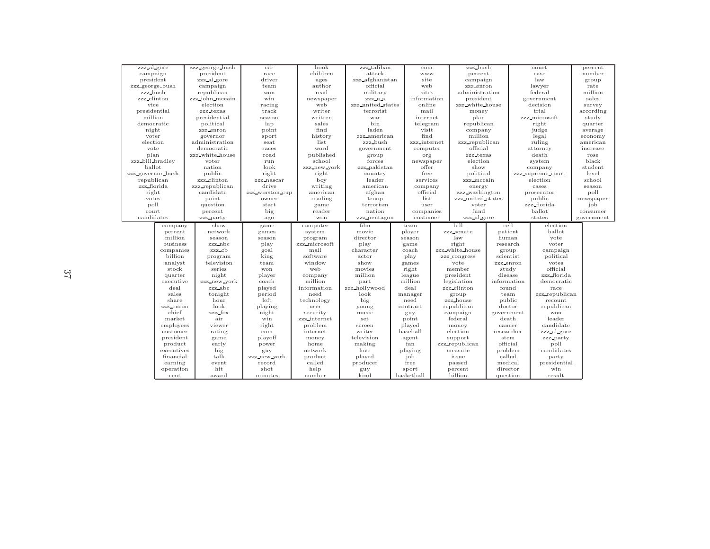| zzz_al_gore<br>campaign  |                             | zzz_george_bush | car             | book           | zzz_taliban       | com                 | zzz_bush           |                      |      | court             | percent    |
|--------------------------|-----------------------------|-----------------|-----------------|----------------|-------------------|---------------------|--------------------|----------------------|------|-------------------|------------|
| president<br>zzz_al_gore |                             | president       | race            | children       | attack            | www                 | percent            |                      | case |                   | number     |
|                          | campaign<br>zzz_george_bush |                 | driver          | ages           | zzz_afghanistan   | site                | campaign           |                      |      | law               | group      |
|                          |                             |                 | team            | author         | official          | web                 | zzz_enron          |                      |      | lawyer            | rate       |
| zzz_bush                 |                             | republican      | won             | read           | military          | sites               | administration     |                      |      | federal           | million    |
| zzz_clinton              |                             | zzz_john_mccain | win             | newspaper      | zzz_u_s           | information         | president          |                      |      | government        | sales      |
| vice                     |                             | election        | racing          | web            | zzz_united_states | online              | zzz_white_house    |                      |      | decision          | survey     |
| presidential             |                             | zzz_texas       | track           | writer         | terrorist         | mail                | money              |                      |      | trial             | according  |
| million                  |                             | presidential    | season          | written        | war               | internet            | plan               |                      |      | zzz_microsoft     | study      |
| democratic               |                             | political       | lap             | sales          | bin               | telegram            | republican         |                      |      | right             | quarter    |
| night                    |                             | zzz_enron       | point           | find           | laden             | visit               | company            |                      |      | judge             | average    |
| voter                    |                             | governor        | sport           | history        | zzz_american      | find                | million            |                      |      | legal             | economy    |
| election                 |                             | administration  | seat            | list           | zzz_bush          | zzz_internet        | zzz_republican     |                      |      | ruling            | american   |
| vote                     |                             | democratic      | races           | word           | government        | computer            | official           |                      |      | attorney          | increase   |
| plan                     |                             | zzz_white_house | road            | published      | group             | org                 | zzz_texas          |                      |      | death             | rose       |
| zzz_bill_bradley         |                             | voter           | run             | school         | forces            | newspaper           | election           |                      |      | system            | black      |
| ballot                   |                             | nation          | look            | zzz_new_york   | zzz_pakistan      | offer               | show               |                      |      | company           | student    |
| zzz_governor_bush        |                             | public          | right           | right          | country           | free                | political          |                      |      | zzz_supreme_court | level      |
| republican               |                             | zzz_clinton     | zzz_nascar      | boy            | leader            | services            | zzz_mccain         |                      |      | election          | school     |
| zzz_florida              |                             | zzz_republican  | drive           | writing        | american          | company             | energy             |                      |      | cases             | season     |
| right                    |                             | candidate       | zzz_winston_cup | american       | afghan            | official            | zzz_washington     |                      |      | prosecutor        | poll       |
| votes                    |                             | point           | owner           | reading        | troop             | list                | zzz_united_states  |                      |      | public            | newspaper  |
| poll                     |                             | question        | start           | game           | terrorism         | user                | voter              |                      |      | zzz_florida       | job        |
| court                    |                             | percent         | big             | reader         | nation            | companies           | fund               |                      |      | ballot            | consumer   |
|                          |                             |                 |                 |                |                   |                     |                    |                      |      |                   | government |
| candidates               |                             | zzz_party       | ago             | won            | zzz_pentagon      | customer            | zzz_al_gore        |                      |      | states            |            |
|                          |                             |                 |                 |                |                   |                     |                    |                      |      |                   |            |
|                          | company                     | show            | game            | computer       | film              | team                | bill               | cell                 |      | election          |            |
|                          | percent                     | network         | games           | system         | movie             | player              | zzz_senate         | patient              |      | ballot            |            |
|                          | million                     | season          | season          | program        | director          | season              | law                | human                |      | vote              |            |
|                          | business                    | zzz_nbc         | play            | zzz_microsoft  | play              | game                | right              | research             |      | voter             |            |
|                          | companies                   | zzz_cb          | goal            | mail           | character         | coach               | zzz_white_house    | group                |      | campaign          |            |
|                          | billion                     | program         | king            | software       | actor             | play                | zzz_congress       | scientist            |      | political         |            |
|                          | analyst                     | television      | team            | window         | show              | games               | vote               | zzz_enron            |      | votes             |            |
|                          | stock                       | series          | won             | web            | movies            | right               | member             | study                |      | official          |            |
|                          | quarter                     | night           | player          | company        | million           | league              | president          | disease              |      | zzz_florida       |            |
|                          | executive                   | zzz_new_york    | coach           | million        | part              | million             | legislation        | information          |      | democratic        |            |
|                          | deal                        | zzz_abc         | played          | information    | zzz_hollywood     | deal                | zzz_clinton        | found                |      | race              |            |
|                          | sales                       | tonight         | period          | need           | look              | manager             | group              | team                 |      | zzz_republican    |            |
|                          | share                       | hour            | left            | technology     | big               | need                | zzz_house          | public               |      | recount           |            |
|                          | zzz_enron                   | look            | playing         | user           | young             | contract            | republican         | doctor               |      | republican        |            |
|                          | chief                       | zzz_fox         | night           | security       | music             | guy                 | campaign           | government           |      | won               |            |
|                          | market                      | air             | win             | zzz_internet   | set               | point               | federal            | death                |      | leader            |            |
|                          | employees                   | viewer          | right           | problem        | screen            | played              | money              | cancer               |      | candidate         |            |
|                          | customer                    | rating          | com             | internet       | writer            | baseball            | election           | researcher           |      | zzz_al_gore       |            |
|                          | president                   | game            | playoff         | money          | television        | agent               | support            | stem                 |      | zzz_party         |            |
|                          | product                     | early           | power           | home           | making            | fan                 | zzz_republican     | official             |      | poll              |            |
|                          | executives                  | big             | guy             | network        | love              | playing             | measure            | problem              |      | candidates        |            |
|                          | financial                   | talk            | zzz_new_york    | product        | played            | job                 | issue              | called               |      | party             |            |
|                          | earning                     | event           | record          | called         | producer          | free                | passed             | medical              |      | presidential      |            |
|                          | operation<br>cent           | hit<br>award    | shot<br>minutes | help<br>number | guy<br>kind       | sport<br>basketball | percent<br>billion | director<br>question |      | win<br>result     |            |